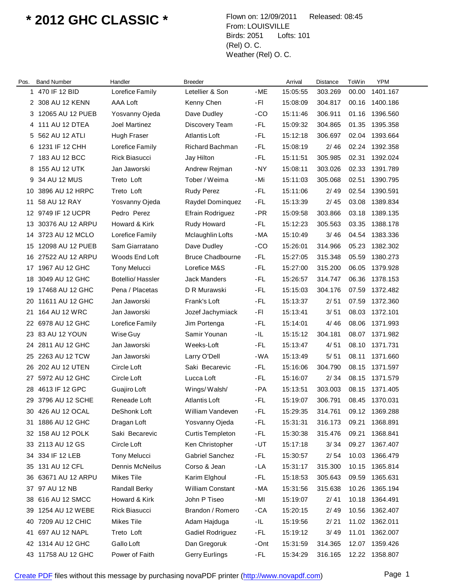## **\* 2012 GHC CLASSIC \*** Flown on: 12/09/2011 Released: 08:45

From: LOUISVILLE Birds: 2051 Lofts: 101 (Rel) O. C. Weather (Rel) O. C.

| Pos. | <b>Band Number</b>  | Handler              | <b>Breeder</b>          |       | Arrival  | Distance | ToWin | <b>YPM</b>     |
|------|---------------------|----------------------|-------------------------|-------|----------|----------|-------|----------------|
| 1    | 470 IF 12 BID       | Lorefice Family      | Letellier & Son         | -ME   | 15:05:55 | 303.269  | 00.00 | 1401.167       |
|      | 2 308 AU 12 KENN    | AAA Loft             | Kenny Chen              | -FI   | 15:08:09 | 304.817  | 00.16 | 1400.186       |
|      | 3 12065 AU 12 PUEB  | Yosvanny Ojeda       | Dave Dudley             | -CO   | 15:11:46 | 306.911  | 01.16 | 1396.560       |
|      | 4 111 AU 12 DTEA    | Joel Martinez        | Discovery Team          | -FL   | 15:09:32 | 304.865  | 01.35 | 1395.358       |
| 5    | 562 AU 12 ATLI      | Hugh Fraser          | <b>Atlantis Loft</b>    | -FL   | 15:12:18 | 306.697  | 02.04 | 1393.664       |
|      | 6 1231 IF 12 CHH    | Lorefice Family      | Richard Bachman         | -FL   | 15:08:19 | 2/46     | 02.24 | 1392.358       |
| 7    | 183 AU 12 BCC       | <b>Rick Biasucci</b> | Jay Hilton              | -FL   | 15:11:51 | 305.985  | 02.31 | 1392.024       |
|      | 8 155 AU 12 UTK     | Jan Jaworski         | Andrew Rejman           | -NY   | 15:08:11 | 303.026  | 02.33 | 1391.789       |
| 9    | 34 AU 12 MUS        | Treto Loft           | Tober / Weima           | - Mi  | 15:11:03 | 305.068  | 02.51 | 1390.795       |
|      | 10 3896 AU 12 HRPC  | Treto Loft           | <b>Rudy Perez</b>       | -FL   | 15:11:06 | 2/49     | 02.54 | 1390.591       |
| 11   | 58 AU 12 RAY        | Yosvanny Ojeda       | Raydel Dominquez        | -FL   | 15:13:39 | 2/45     | 03.08 | 1389.834       |
|      | 12 9749 IF 12 UCPR  | Pedro Perez          | Efrain Rodriguez        | $-PR$ | 15:09:58 | 303.866  | 03.18 | 1389.135       |
| 13   | 30376 AU 12 ARPU    | Howard & Kirk        | Rudy Howard             | -FL   | 15:12:23 | 305.563  | 03.35 | 1388.178       |
|      | 14 3723 AU 12 MCLO  | Lorefice Family      | Mclaughlin Lofts        | -MA   | 15:10:49 | 3/46     | 04.54 | 1383.336       |
|      | 15 12098 AU 12 PUEB | Sam Giarratano       | Dave Dudley             | $-CO$ | 15:26:01 | 314.966  | 05.23 | 1382.302       |
|      | 16 27522 AU 12 ARPU | Woods End Loft       | <b>Bruce Chadbourne</b> | -FL   | 15:27:05 | 315.348  | 05.59 | 1380.273       |
| 17   | 1967 AU 12 GHC      | <b>Tony Melucci</b>  | Lorefice M&S            | -FL   | 15:27:00 | 315.200  | 06.05 | 1379.928       |
|      | 18 3049 AU 12 GHC   | Botellio/Hassler     | <b>Jack Manders</b>     | -FL   | 15:26:57 | 314.747  | 06.36 | 1378.153       |
|      | 19 17468 AU 12 GHC  | Pena / Placetas      | D R Murawski            | -FL   | 15:15:03 | 304.176  | 07.59 | 1372.482       |
|      | 20 11611 AU 12 GHC  | Jan Jaworski         | Frank's Loft            | -FL   | 15:13:37 | 2/51     | 07.59 | 1372.360       |
| 21   | 164 AU 12 WRC       | Jan Jaworski         | Jozef Jachymiack        | -FI   | 15:13:41 | 3/51     | 08.03 | 1372.101       |
|      | 22 6978 AU 12 GHC   | Lorefice Family      | Jim Portenga            | -FL   | 15:14:01 | 4/46     | 08.06 | 1371.993       |
|      | 23 83 AU 12 YOUN    | Wise Guy             | Samir Younan            | -IL   | 15:15:12 | 304.181  | 08.07 | 1371.982       |
|      | 24 2811 AU 12 GHC   | Jan Jaworski         | Weeks-Loft              | -FL   | 15:13:47 | 4/51     | 08.10 | 1371.731       |
| 25   | 2263 AU 12 TCW      | Jan Jaworski         | Larry O'Dell            | -WA   | 15:13:49 | 5/51     | 08.11 | 1371.660       |
|      | 26 202 AU 12 UTEN   | Circle Loft          | Saki Becarevic          | -FL   | 15:16:06 | 304.790  | 08.15 | 1371.597       |
| 27   | 5972 AU 12 GHC      | Circle Loft          | Lucca Loft              | -FL   | 15:16:07 | 2/34     | 08.15 | 1371.579       |
| 28   | 4613 IF 12 GPC      | Guajiro Loft         | Wings/Walsh/            | -PA   | 15:13:51 | 303.003  | 08.15 | 1371.405       |
| 29.  | 3796 AU 12 SCHE     | Reneade Loft         | <b>Atlantis Loft</b>    | -FL   | 15:19:07 | 306.791  | 08.45 | 1370.031       |
|      | 30 426 AU 12 OCAL   | <b>DeShonk Loft</b>  | William Vandeven        | -FL   | 15:29:35 | 314.761  |       | 09.12 1369.288 |
| 31   | 1886 AU 12 GHC      | Dragan Loft          | Yosvanny Ojeda          | -FL   | 15:31:31 | 316.173  | 09.21 | 1368.891       |
|      | 32 158 AU 12 POLK   | Saki Becarevic       | <b>Curtis Templeton</b> | -FL   | 15:30:38 | 315.476  | 09.21 | 1368.841       |
|      | 33 2113 AU 12 GS    | Circle Loft          | Ken Christopher         | -UT   | 15:17:18 | 3/34     | 09.27 | 1367.407       |
|      | 34 334 IF 12 LEB    | <b>Tony Melucci</b>  | Gabriel Sanchez         | -FL   | 15:30:57 | 2/54     | 10.03 | 1366.479       |
| 35   | 131 AU 12 CFL       | Dennis McNeilus      | Corso & Jean            | -LA   | 15:31:17 | 315.300  | 10.15 | 1365.814       |
|      | 36 63671 AU 12 ARPU | Mikes Tile           | Karim Elghoul           | -FL   | 15:18:53 | 305.643  | 09.59 | 1365.631       |
|      | 37 97 AU 12 NB      | <b>Randall Berky</b> | <b>William Constant</b> | -MA   | 15:31:56 | 315.638  | 10.26 | 1365.194       |
|      | 38 616 AU 12 SMCC   | Howard & Kirk        | John P Tiseo            | -MI   | 15:19:07 | 2/41     | 10.18 | 1364.491       |
| 39   | 1254 AU 12 WEBE     | Rick Biasucci        | Brandon / Romero        | -CA   | 15:20:15 | 2/49     | 10.56 | 1362.407       |
|      | 40 7209 AU 12 CHIC  | Mikes Tile           | Adam Hajduga            | -IL   | 15:19:56 | 2/21     | 11.02 | 1362.011       |
| 41   | 697 AU 12 NAPL      | Treto Loft           | Gadiel Rodriguez        | -FL   | 15:19:12 | 3/49     | 11.01 | 1362.007       |
|      | 42 1314 AU 12 GHC   | Gallo Loft           | Dan Gregoruk            | -Ont  | 15:31:59 | 314.365  | 12.07 | 1359.426       |
|      | 43 11758 AU 12 GHC  | Power of Faith       | <b>Gerry Eurlings</b>   | -FL   | 15:34:29 | 316.165  |       | 12.22 1358.807 |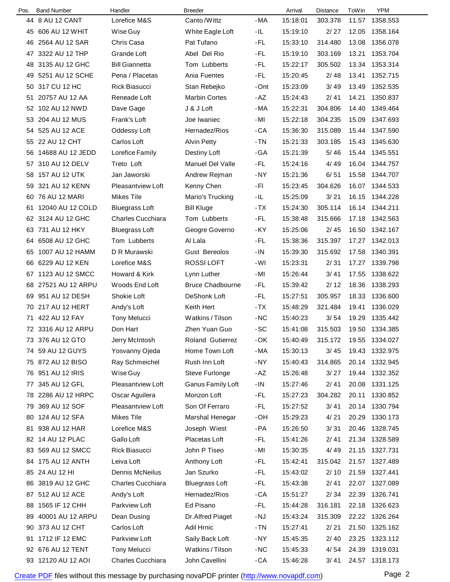| Pos. | <b>Band Number</b>  | Handler                  | <b>Breeder</b>          |       | Arrival  | <b>Distance</b> | ToWin | <b>YPM</b>     |
|------|---------------------|--------------------------|-------------------------|-------|----------|-----------------|-------|----------------|
|      | 44 8 AU 12 CANT     | Lorefice M&S             | Canto /Wittz            | $-MA$ | 15:18:01 | 303.378         | 11.57 | 1358.553       |
|      | 45 606 AU 12 WHIT   | Wise Guy                 | White Eagle Loft        | -IL   | 15:19:10 | 2/27            | 12.05 | 1358.164       |
| 46   | 2564 AU 12 SAR      | Chris Casa               | Pat Tufano              | -FL   | 15:33:10 | 314.480         | 13.08 | 1356.078       |
|      | 47 3322 AU 12 THP   | Grande Loft              | Abel Del Rio            | -FL   | 15:19:10 | 303.169         | 13.21 | 1353.704       |
| 48   | 3135 AU 12 GHC      | <b>Bill Giannetta</b>    | Tom Lubberts            | -FL   | 15:22:17 | 305.502         | 13.34 | 1353.314       |
|      | 49 5251 AU 12 SCHE  | Pena / Placetas          | Ania Fuentes            | -FL   | 15:20:45 | 2/48            | 13.41 | 1352.715       |
| 50   | 317 CU 12 HC        | Rick Biasucci            | Stan Rebejko            | -Ont  | 15:23:09 | 3/49            | 13.49 | 1352.535       |
| 51   | 20757 AU 12 AA      | Reneade Loft             | <b>Marbin Cortes</b>    | -AZ   | 15:24:43 | 2/41            | 14.21 | 1350.837       |
|      | 52 102 AU 12 NWD    | Dave Gage                | J & J Loft              | -MA   | 15:22:31 | 304.806         | 14.40 | 1349.464       |
|      | 53 204 AU 12 MUS    | Frank's Loft             | Joe Iwaniec             | -MI   | 15:22:18 | 304.235         | 15.09 | 1347.693       |
| 54   | 525 AU 12 ACE       | Oddessy Loft             | Hernadez/Rios           | -CA   | 15:36:30 | 315.089         | 15.44 | 1347.590       |
|      | 55 22 AU 12 CHT     | Carlos Loft              | <b>Alvin Petty</b>      | - TN  | 15:21:33 | 303.185         | 15.43 | 1345.630       |
| 56   | 14688 AU 12 JEDD    | Lorefice Family          | Destiny Loft            | -GA   | 15:21:39 | 5/46            |       | 15.44 1345.551 |
| 57   | 310 AU 12 DELV      | Treto Loft               | <b>Manuel Del Valle</b> | -FL   | 15:24:16 | 4/49            |       | 16.04 1344.757 |
| 58   | 157 AU 12 UTK       | Jan Jaworski             | Andrew Rejman           | -NY   | 15:21:36 | 6/51            | 15.58 | 1344.707       |
| 59   | 321 AU 12 KENN      | <b>Pleasantview Loft</b> | Kenny Chen              | -FI   | 15:23:45 | 304.626         | 16.07 | 1344.533       |
| 60   | 76 AU 12 MARI       | Mikes Tile               | Mario's Trucking        | -IL   | 15:25:09 | 3/21            |       | 16.15 1344.228 |
| 61   | 12040 AU 12 COLD    | <b>Bluegrass Loft</b>    | <b>Bill Kluge</b>       | $-TX$ | 15:24:30 | 305.114         |       | 16.14 1344.211 |
|      | 62 3124 AU 12 GHC   | <b>Charles Cucchiara</b> | Tom Lubberts            | -FL   | 15:38:48 | 315.666         | 17.18 | 1342.563       |
|      | 63 731 AU 12 HKY    | <b>Bluegrass Loft</b>    | Geogre Governo          | -KY   | 15:25:06 | 2/45            | 16.50 | 1342.167       |
| 64   | 6508 AU 12 GHC      | Tom Lubberts             | Al Lala                 | -FL   | 15:38:36 | 315.397         |       | 17.27 1342.013 |
| 65   | 1007 AU 12 HAMM     | D R Murawski             | <b>Gust Bereolos</b>    | $-IN$ | 15:39:30 | 315.692         | 17.58 | 1340.391       |
| 66   | 6229 AU 12 KEN      | Lorefice M&S             | ROSSI LOFT              | -WI   | 15:23:31 | 2/31            | 17.27 | 1339.798       |
|      | 67 1123 AU 12 SMCC  | Howard & Kirk            | Lynn Luther             | -MI   | 15:26:44 | 3/41            | 17.55 | 1338.622       |
|      | 68 27521 AU 12 ARPU | Woods End Loft           | <b>Bruce Chadbourne</b> | -FL   | 15:39:42 | 2/12            | 18.36 | 1338.293       |
|      | 69 951 AU 12 DESH   | Shokie Loft              | DeShonk Loft            | -FL   | 15:27:51 | 305.957         | 18.33 | 1336.600       |
|      | 70 217 AU 12 HERT   | Andy's Loft              | Keith Hert              | $-TX$ | 15:48:29 | 321.484         | 19.41 | 1336.029       |
|      | 71 422 AU 12 FAY    | <b>Tony Melucci</b>      | Watkins / Tilson        | $-NC$ | 15:40:23 | 3/54            | 19.29 | 1335.442       |
|      | 72 3316 AU 12 ARPU  | Don Hart                 | Zhen Yuan Guo           | -SC   | 15:41:08 | 315.503         |       | 19.50 1334.385 |
|      | 73 376 AU 12 GTO    | Jerry McIntosh           | Roland Gutierrez        | $-OK$ | 15:40:49 | 315.172         |       | 19.55 1334.027 |
|      | 74 59 AU 12 GUYS    | Yosvanny Ojeda           | Home Town Loft          | -MA   | 15:30:13 | 3/45            |       | 19.43 1332.975 |
|      | 75 872 AU 12 BISO   | Ray Schmeichel           | Rush Inn Loft           | -NY   | 15:40:43 | 314.865         |       | 20.14 1332.945 |
|      | 76 951 AU 12 IRIS   | Wise Guy                 | Steve Furlonge          | -AZ   | 15:26:48 | 3/27            | 19.44 | 1332.352       |
|      | 77 345 AU 12 GFL    | Pleasantview Loft        | Ganus Family Loft       | -IN   | 15:27:46 | 2/41            | 20.08 | 1331.125       |
|      | 78 2286 AU 12 HRPC  | Oscar Aguilera           | Monzon Loft             | -FL   | 15:27:23 | 304.282         | 20.11 | 1330.852       |
|      | 79 369 AU 12 SOF    | Pleasantview Loft        | Son Of Ferraro          | -FL   | 15:27:52 | 3/41            | 20.14 | 1330.794       |
| 80   | 124 AU 12 SFA       | Mikes Tile               | Marshal Henegar         | -OH   | 15:29:23 | 4/21            | 20.29 | 1330.173       |
| 81   | 938 AU 12 HAR       | Lorefice M&S             | Joseph Wiest            | -PA   | 15:26:50 | 3/31            | 20.46 | 1328.745       |
|      | 82 14 AU 12 PLAC    | Gallo Loft               | Placetas Loft           | -FL   | 15:41:26 | 2/41            |       | 21.34 1328.589 |
|      | 83 569 AU 12 SMCC   | Rick Biasucci            | John P Tiseo            | -MI   | 15:30:35 | 4/49            |       | 21.15 1327.731 |
| 84   | 175 AU 12 ANTH      | Leiva Loft               | Anthony Loft            | -FL   | 15:42:41 | 315.042         | 21.57 | 1327.489       |
|      | 85 24 AU 12 HI      | Dennis McNeilus          | Jan Szurko              | -FL   | 15:43:02 | 2/10            | 21.59 | 1327.441       |
|      | 86 3819 AU 12 GHC   | Charles Cucchiara        | <b>Bluegrass Loft</b>   | -FL   | 15:43:38 | 2/41            |       | 22.07 1327.089 |
|      | 87 512 AU 12 ACE    | Andy's Loft              | Hernadez/Rios           | -CA   | 15:51:27 | 2/34            | 22.39 | 1326.741       |
| 88   | 1565 IF 12 CHH      | Parkview Loft            | Ed Pisano               | -FL   | 15:44:28 | 316.181         | 22.18 | 1326.623       |
| 89   | 40001 AU 12 ARPU    | Dean Dusing              | Dr.Alfred Piaget        | -NJ   | 15:43:24 | 315.309         | 22.22 | 1326.264       |
|      | 90 373 AU 12 CHT    | Carlos Loft              | Adil Hrnic              | - TN  | 15:27:41 | 2/21            | 21.50 | 1325.162       |
|      | 91 1712 IF 12 EMC   | Parkview Loft            | Saily Back Loft         | -NY   | 15:45:35 | 2/40            |       | 23.25 1323.112 |
|      | 92 676 AU 12 TENT   | <b>Tony Melucci</b>      | Watkins / Tilson        | $-NC$ | 15:45:33 | 4/54            | 24.39 | 1319.031       |
|      | 93 12120 AU 12 AOI  | Charles Cucchiara        | John Cavellini          | -CA   | 15:46:28 | 3/41            |       | 24.57 1318.173 |
|      |                     |                          |                         |       |          |                 |       |                |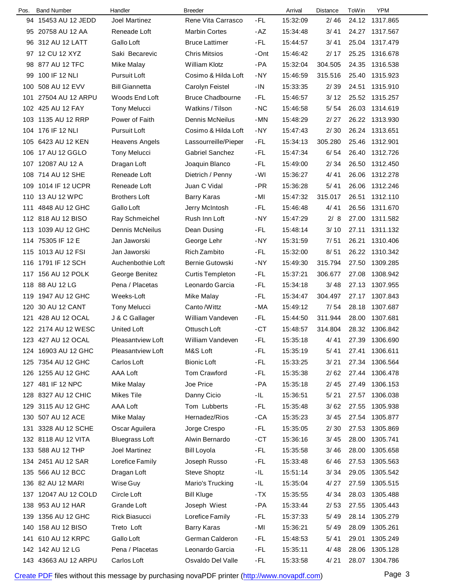| Pos. | <b>Band Number</b>   | Handler                  | <b>Breeder</b>          |       | Arrival  | Distance | ToWin | <b>YPM</b>     |
|------|----------------------|--------------------------|-------------------------|-------|----------|----------|-------|----------------|
|      | 94 15453 AU 12 JEDD  | Joel Martinez            | Rene Vita Carrasco      | -FL   | 15:32:09 | 2/46     |       | 24.12 1317.865 |
|      | 95 20758 AU 12 AA    | Reneade Loft             | <b>Marbin Cortes</b>    | $-AZ$ | 15:34:48 | 3/41     | 24.27 | 1317.567       |
| 96   | 312 AU 12 LATT       | Gallo Loft               | <b>Bruce Lattimer</b>   | -FL   | 15:44:57 | 3/41     | 25.04 | 1317.479       |
|      | 97 12 CU 12 XYZ      | Saki Becarevic           | <b>Chris Mitsios</b>    | -Ont  | 15:46:42 | 2/17     | 25.25 | 1316.678       |
| 98   | 877 AU 12 TFC        | Mike Malay               | William Klotz           | -PA   | 15:32:04 | 304.505  | 24.35 | 1316.538       |
| 99   | 100 IF 12 NLI        | Pursuit Loft             | Cosimo & Hilda Loft     | -NY   | 15:46:59 | 315.516  | 25.40 | 1315.923       |
| 100  | 508 AU 12 EVV        | <b>Bill Giannetta</b>    | Carolyn Feistel         | $-IN$ | 15:33:35 | 2/39     | 24.51 | 1315.910       |
| 101  | 27504 AU 12 ARPU     | Woods End Loft           | <b>Bruce Chadbourne</b> | -FL   | 15:46:57 | 3/12     |       | 25.52 1315.257 |
|      | 102 425 AU 12 FAY    | <b>Tony Melucci</b>      | Watkins / Tilson        | $-NC$ | 15:46:58 | 5/54     |       | 26.03 1314.619 |
|      | 103 1135 AU 12 RRP   | Power of Faith           | Dennis McNeilus         | -MN   | 15:48:29 | 2/27     |       | 26.22 1313.930 |
|      | 104 176 IF 12 NLI    | Pursuit Loft             | Cosimo & Hilda Loft     | -NY   | 15:47:43 | 2/30     | 26.24 | 1313.651       |
|      | 105 6423 AU 12 KEN   | Heavens Angels           | Lassourreille/Pieper    | -FL   | 15:34:13 | 305.280  | 25.46 | 1312.901       |
|      | 106 17 AU 12 GGLO    | <b>Tony Melucci</b>      | <b>Gabriel Sanchez</b>  | -FL   | 15:47:34 | 6/54     | 26.40 | 1312.726       |
|      | 107 12087 AU 12 A    | Dragan Loft              | Joaquin Blanco          | -FL   | 15:49:00 | 2/34     | 26.50 | 1312.450       |
|      | 108 714 AU 12 SHE    | Reneade Loft             | Dietrich / Penny        | -WI   | 15:36:27 | 4/41     | 26.06 | 1312.278       |
|      | 109 1014 IF 12 UCPR  | Reneade Loft             | Juan C Vidal            | -PR   | 15:36:28 | 5/41     | 26.06 | 1312.246       |
|      | 110 13 AU 12 WPC     | <b>Brothers Loft</b>     | Barry Karas             | -MI   | 15:47:32 | 315.017  | 26.51 | 1312.110       |
|      | 111 4848 AU 12 GHC   | Gallo Loft               | Jerry McIntosh          | -FL   | 15:46:48 | 4/41     | 26.56 | 1311.670       |
|      | 112 818 AU 12 BISO   | Ray Schmeichel           | Rush Inn Loft           | -NY   | 15:47:29 | 2/8      | 27.00 | 1311.582       |
|      | 113 1039 AU 12 GHC   | Dennis McNeilus          | Dean Dusing             | -FL   | 15:48:14 | 3/10     | 27.11 | 1311.132       |
|      | 114 75305 IF 12 E    | Jan Jaworski             | George Lehr             | -NY   | 15:31:59 | 7/51     | 26.21 | 1310.406       |
|      | 115 1013 AU 12 FSI   | Jan Jaworski             | Rich Zambito            | -FL   | 15:32:00 | 8/51     | 26.22 | 1310.342       |
|      | 116 1791 IF 12 SCH   | Auchenbothie Loft        | <b>Bernie Gutowski</b>  | $-NY$ | 15:49:30 | 315.794  | 27.50 | 1309.285       |
|      | 117 156 AU 12 POLK   | George Benitez           | <b>Curtis Templeton</b> | -FL   | 15:37:21 | 306.677  | 27.08 | 1308.942       |
|      | 118 88 AU 12 LG      | Pena / Placetas          | Leonardo Garcia         | -FL   | 15:34:18 | 3/48     | 27.13 | 1307.955       |
|      | 119 1947 AU 12 GHC   | Weeks-Loft               | Mike Malay              | -FL   | 15:34:47 | 304.497  | 27.17 | 1307.843       |
| 120  | 30 AU 12 CANT        | <b>Tony Melucci</b>      | Canto /Wittz            | -MA   | 15:49:12 | 7/54     | 28.18 | 1307.687       |
| 121  | 428 AU 12 OCAL       | J & C Gallager           | William Vandeven        | -FL   | 15:44:50 | 311.944  | 28.00 | 1307.681       |
|      | 122 2174 AU 12 WESC  | <b>United Loft</b>       | Ottusch Loft            | $-CT$ | 15:48:57 | 314.804  |       | 28.32 1306.842 |
|      | 123 427 AU 12 OCAL   | Pleasantview Loft        | William Vandeven        | -FL   | 15:35:18 | 4/41     | 27.39 | 1306.690       |
|      | 124 16903 AU 12 GHC  | <b>Pleasantview Loft</b> | M&S Loft                | -FL   | 15:35:19 | 5/41     | 27.41 | 1306.611       |
|      | 125 7354 AU 12 GHC   | Carlos Loft              | <b>Bionic Loft</b>      | -FL   | 15:33:25 | $3/21$   | 27.34 | 1306.564       |
|      | 126 1255 AU 12 GHC   | AAA Loft                 | <b>Tom Crawford</b>     | -FL   | 15:35:38 | 2/62     | 27.44 | 1306.478       |
|      | 127 481 IF 12 NPC    | Mike Malay               | Joe Price               | -PA   | 15:35:18 | 2/45     | 27.49 | 1306.153       |
|      | 128 8327 AU 12 CHIC  | <b>Mikes Tile</b>        | Danny Cicio             | -IL.  | 15:36:51 | 5/21     | 27.57 | 1306.038       |
|      | 129 3115 AU 12 GHC   | AAA Loft                 | Tom Lubberts            | -FL   | 15:35:48 | 3/62     | 27.55 | 1305.938       |
|      | 130 507 AU 12 ACE    | Mike Malay               | Hernadez/Rios           | -CA   | 15:35:23 | 3/45     | 27.54 | 1305.877       |
|      | 131 3328 AU 12 SCHE  | Oscar Aguilera           | Jorge Crespo            | -FL   | 15:35:05 | 2/30     | 27.53 | 1305.869       |
|      | 132 8118 AU 12 VITA  | <b>Bluegrass Loft</b>    | Alwin Bernardo          | -CT   | 15:36:16 | 3/45     | 28.00 | 1305.741       |
|      | 133 588 AU 12 THP    | Joel Martinez            | <b>Bill Loyola</b>      | -FL   | 15:35:58 | 3/46     | 28.00 | 1305.658       |
|      | 134 2451 AU 12 SAR   | Lorefice Family          | Joseph Russo            | -FL   | 15:33:48 | 6/46     | 27.53 | 1305.563       |
|      | 135 566 AU 12 BCC    | Dragan Loft              | Steve Shoptz            | -IL.  | 15:51:14 | 3/34     | 29.05 | 1305.542       |
|      | 136 82 AU 12 MARI    | Wise Guy                 | Mario's Trucking        | -IL.  | 15:35:04 | 4/27     | 27.59 | 1305.515       |
|      | 137 12047 AU 12 COLD | Circle Loft              | <b>Bill Kluge</b>       | -TX   | 15:35:55 | 4/34     | 28.03 | 1305.488       |
|      | 138 953 AU 12 HAR    | Grande Loft              | Joseph Wiest            | -PA   | 15:33:44 | 2/53     | 27.55 | 1305.443       |
|      | 139 1356 AU 12 GHC   | Rick Biasucci            | Lorefice Family         | -FL   | 15:37:33 | 5/49     | 28.14 | 1305.279       |
|      | 140 158 AU 12 BISO   | Treto Loft               | <b>Barry Karas</b>      | -MI   | 15:36:21 | 5/49     | 28.09 | 1305.261       |
|      | 141 610 AU 12 KRPC   | Gallo Loft               | German Calderon         | -FL   | 15:48:53 | 5/41     | 29.01 | 1305.249       |
|      | 142 142 AU 12 LG     | Pena / Placetas          | Leonardo Garcia         | -FL   | 15:35:11 | 4/48     | 28.06 | 1305.128       |
|      | 143 43663 AU 12 ARPU | Carlos Loft              | Osvaldo Del Valle       | -FL   | 15:33:58 | 4/21     |       | 28.07 1304.786 |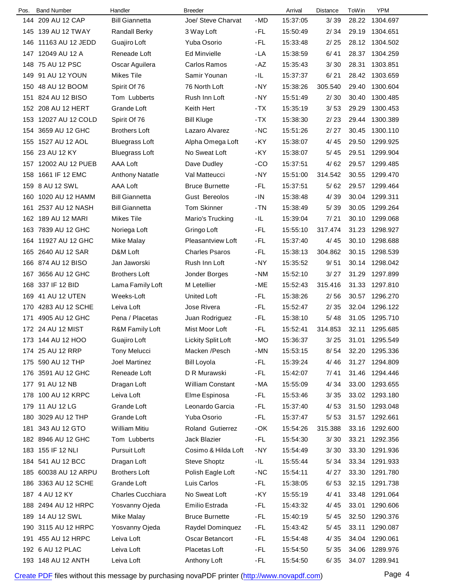| Pos. | <b>Band Number</b>   | Handler                  | <b>Breeder</b>           |       | Arrival  | Distance | ToWin | YPM            |
|------|----------------------|--------------------------|--------------------------|-------|----------|----------|-------|----------------|
|      | 144 209 AU 12 CAP    | <b>Bill Giannetta</b>    | Joe/ Steve Charvat       | -MD   | 15:37:05 | 3/39     | 28.22 | 1304.697       |
|      | 145 139 AU 12 TWAY   | <b>Randall Berky</b>     | 3 Way Loft               | -FL   | 15:50:49 | 2/34     | 29.19 | 1304.651       |
| 146  | 11163 AU 12 JEDD     | Guajiro Loft             | Yuba Osorio              | -FL   | 15:33:48 | 2/25     | 28.12 | 1304.502       |
|      | 147 12049 AU 12 A    | Reneade Loft             | <b>Ed Minvielle</b>      | -LA   | 15:38:59 | 6/41     | 28.37 | 1304.259       |
|      | 148 75 AU 12 PSC     | Oscar Aguilera           | Carlos Ramos             | -AZ   | 15:35:43 | 3/30     | 28.31 | 1303.851       |
|      | 149 91 AU 12 YOUN    | <b>Mikes Tile</b>        | Samir Younan             | -IL.  | 15:37:37 | 6/21     | 28.42 | 1303.659       |
|      | 150 48 AU 12 BOOM    | Spirit Of 76             | 76 North Loft            | -NY   | 15:38:26 | 305.540  | 29.40 | 1300.604       |
|      | 151 824 AU 12 BISO   | Tom Lubberts             | Rush Inn Loft            | -NY   | 15:51:49 | 2/30     | 30.40 | 1300.485       |
|      | 152 208 AU 12 HERT   | Grande Loft              | Keith Hert               | -TX   | 15:35:19 | 3/53     | 29.29 | 1300.453       |
|      | 153 12027 AU 12 COLD | Spirit Of 76             | <b>Bill Kluge</b>        | -TX   | 15:38:30 | 2/23     | 29.44 | 1300.389       |
|      | 154 3659 AU 12 GHC   | <b>Brothers Loft</b>     | Lazaro Alvarez           | $-NC$ | 15:51:26 | 2/27     | 30.45 | 1300.110       |
|      | 155 1527 AU 12 AOL   | <b>Bluegrass Loft</b>    | Alpha Omega Loft         | -KY   | 15:38:07 | 4/45     | 29.50 | 1299.925       |
|      | 156 23 AU 12 KY      | <b>Bluegrass Loft</b>    | No Sweat Loft            | -KY   | 15:38:07 | 5/45     | 29.51 | 1299.904       |
|      | 157 12002 AU 12 PUEB | AAA Loft                 | Dave Dudley              | -CO   | 15:37:51 | 4/62     | 29.57 | 1299.485       |
| 158  | 1661 IF 12 EMC       | <b>Anthony Natatle</b>   | Val Matteucci            | -NY   | 15:51:00 | 314.542  | 30.55 | 1299.470       |
|      | 159 8 AU 12 SWL      | AAA Loft                 | <b>Bruce Burnette</b>    | -FL   | 15:37:51 | 5/62     | 29.57 | 1299.464       |
|      | 160 1020 AU 12 HAMM  | <b>Bill Giannetta</b>    | <b>Gust Bereolos</b>     | -IN   | 15:38:48 | 4/39     | 30.04 | 1299.311       |
| 161  | 2537 AU 12 NASH      | <b>Bill Giannetta</b>    | <b>Tom Skinner</b>       | - TN  | 15:38:49 | 5/39     | 30.05 | 1299.264       |
|      | 162 189 AU 12 MARI   | Mikes Tile               | Mario's Trucking         | -IL   | 15:39:04 | 7/21     | 30.10 | 1299.068       |
|      | 163 7839 AU 12 GHC   | Noriega Loft             | Gringo Loft              | -FL   | 15:55:10 | 317.474  | 31.23 | 1298.927       |
|      | 164 11927 AU 12 GHC  | Mike Malay               | <b>Pleasantview Loft</b> | -FL   | 15:37:40 | 4/45     | 30.10 | 1298.688       |
|      | 165 2640 AU 12 SAR   | D&M Loft                 | <b>Charles Psaros</b>    | -FL   | 15:38:13 | 304.862  | 30.15 | 1298.539       |
|      | 166 874 AU 12 BISO   | Jan Jaworski             | Rush Inn Loft            | -NY   | 15:35:52 | 9/51     | 30.14 | 1298.042       |
|      | 167 3656 AU 12 GHC   | <b>Brothers Loft</b>     | Jonder Borges            | -NM   | 15:52:10 | 3/27     | 31.29 | 1297.899       |
|      | 168 337 IF 12 BID    | Lama Family Loft         | M Letellier              | -ME   | 15:52:43 | 315.416  | 31.33 | 1297.810       |
|      | 169 41 AU 12 UTEN    | Weeks-Loft               | <b>United Loft</b>       | -FL   | 15:38:26 | 2/56     | 30.57 | 1296.270       |
|      | 170 4283 AU 12 SCHE  | Leiva Loft               | Jose Rivera              | -FL   | 15:52:47 | 2/35     | 32.04 | 1296.122       |
| 171  | 4905 AU 12 GHC       | Pena / Placetas          | Juan Rodriguez           | -FL   | 15:38:10 | 5/48     | 31.05 | 1295.710       |
|      | 172 24 AU 12 MIST    | R&M Family Loft          | Mist Moor Loft           | -FL   | 15:52:41 | 314.853  | 32.11 | 1295.685       |
|      | 173 144 AU 12 HOO    | Guajiro Loft             | Lickity Split Loft       | $-MO$ | 15:36:37 | 3/25     | 31.01 | 1295.549       |
|      | 174 25 AU 12 RRP     | <b>Tony Melucci</b>      | Macken / Pesch           | -MN   | 15:53:15 | 8/54     | 32.20 | 1295.336       |
|      | 175 590 AU 12 THP    | <b>Joel Martinez</b>     | <b>Bill Loyola</b>       | -FL   | 15:39:24 | 4/46     | 31.27 | 1294.809       |
|      | 176 3591 AU 12 GHC   | Reneade Loft             | D R Murawski             | -FL   | 15:42:07 | 7/41     | 31.46 | 1294.446       |
|      | 177 91 AU 12 NB      | Dragan Loft              | <b>William Constant</b>  | -MA   | 15:55:09 | 4/34     | 33.00 | 1293.655       |
|      | 178 100 AU 12 KRPC   | Leiva Loft               | Elme Espinosa            | -FL   | 15:53:46 | 3/35     |       | 33.02 1293.180 |
|      | 179 11 AU 12 LG      | Grande Loft              | Leonardo Garcia          | -FL   | 15:37:40 | 4/53     | 31.50 | 1293.048       |
|      | 180 3029 AU 12 THP   | Grande Loft              | Yuba Osorio              | -FL   | 15:37:47 | 5/53     | 31.57 | 1292.661       |
|      | 181 343 AU 12 GTO    | William Mitiu            | <b>Roland Gutierrez</b>  | -OK   | 15:54:26 | 315.388  | 33.16 | 1292.600       |
|      | 182 8946 AU 12 GHC   | Tom Lubberts             | Jack Blazier             | -FL   | 15:54:30 | 3/30     | 33.21 | 1292.356       |
|      | 183 155 IF 12 NLI    | Pursuit Loft             | Cosimo & Hilda Loft      | -NY   | 15:54:49 | 3/30     | 33.30 | 1291.936       |
|      | 184 541 AU 12 BCC    | Dragan Loft              | <b>Steve Shoptz</b>      | -IL.  | 15:55:44 | 5/34     | 33.34 | 1291.933       |
|      | 185 60038 AU 12 ARPU | <b>Brothers Loft</b>     | Polish Eagle Loft        | -NC   | 15:54:11 | 4/27     | 33.30 | 1291.780       |
|      | 186 3363 AU 12 SCHE  | Grande Loft              | Luis Carlos              | -FL   | 15:38:05 | 6/53     | 32.15 | 1291.738       |
|      | 187 4 AU 12 KY       | <b>Charles Cucchiara</b> | No Sweat Loft            | -KY   | 15:55:19 | 4/41     | 33.48 | 1291.064       |
|      | 188 2494 AU 12 HRPC  | Yosvanny Ojeda           | Emilio Estrada           | -FL   | 15:43:32 | 4/45     | 33.01 | 1290.606       |
|      | 189 14 AU 12 SWL     | Mike Malay               | <b>Bruce Burnette</b>    | -FL   | 15:40:19 | 5/45     | 32.50 | 1290.376       |
|      | 190 3115 AU 12 HRPC  | Yosvanny Ojeda           | Raydel Dominquez         | -FL   | 15:43:42 | 5/45     | 33.11 | 1290.087       |
|      | 191 455 AU 12 HRPC   | Leiva Loft               | <b>Oscar Betancort</b>   | -FL   | 15:54:48 | 4/35     | 34.04 | 1290.061       |
|      | 192 6 AU 12 PLAC     | Leiva Loft               | Placetas Loft            | -FL   | 15:54:50 | 5/35     | 34.06 | 1289.976       |
|      | 193 148 AU 12 ANTH   | Leiva Loft               | Anthony Loft             | -FL   | 15:54:50 | 6/35     | 34.07 | 1289.941       |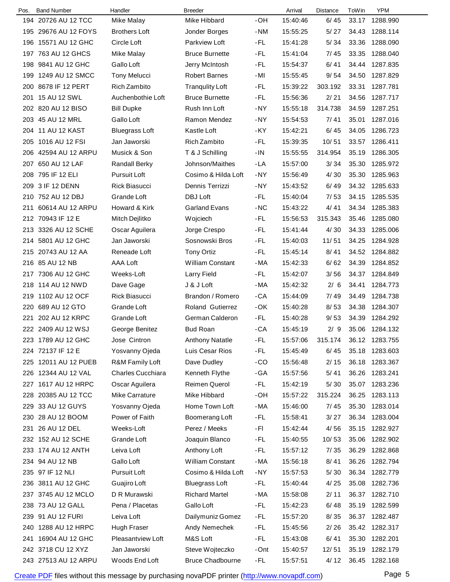| Pos. | <b>Band Number</b>   | Handler                  | <b>Breeder</b>          |       | Arrival  | <b>Distance</b> | ToWin | <b>YPM</b>     |  |
|------|----------------------|--------------------------|-------------------------|-------|----------|-----------------|-------|----------------|--|
|      | 194 20726 AU 12 TCC  | Mike Malay               | Mike Hibbard            | -OH   | 15:40:46 | 6/45            | 33.17 | 1288.990       |  |
|      | 195 29676 AU 12 FOYS | <b>Brothers Loft</b>     | Jonder Borges           | -NM   | 15:55:25 | 5/27            | 34.43 | 1288.114       |  |
| 196  | 15571 AU 12 GHC      | Circle Loft              | Parkview Loft           | -FL   | 15:41:28 | 5/34            | 33.36 | 1288.090       |  |
|      | 197 763 AU 12 GHCS   | Mike Malay               | <b>Bruce Burnette</b>   | -FL   | 15:41:04 | 7/45            | 33.35 | 1288.040       |  |
| 198  | 9841 AU 12 GHC       | Gallo Loft               | Jerry McIntosh          | -FL   | 15:54:37 | 6/41            | 34.44 | 1287.835       |  |
|      | 199 1249 AU 12 SMCC  | <b>Tony Melucci</b>      | <b>Robert Barnes</b>    | -MI   | 15:55:45 | 9/54            | 34.50 | 1287.829       |  |
| 200  | 8678 IF 12 PERT      | Rich Zambito             | <b>Tranqulity Loft</b>  | -FL   | 15:39:22 | 303.192         | 33.31 | 1287.781       |  |
| 201  | 15 AU 12 SWL         | Auchenbothie Loft        | <b>Bruce Burnette</b>   | -FL   | 15:56:36 | 2/21            | 34.56 | 1287.717       |  |
|      | 202 820 AU 12 BISO   | <b>Bill Dupke</b>        | Rush Inn Loft           | $-NY$ | 15:55:18 | 314.738         | 34.59 | 1287.251       |  |
|      | 203 45 AU 12 MRL     | Gallo Loft               | Ramon Mendez            | -NY   | 15:54:53 | 7/41            | 35.01 | 1287.016       |  |
|      | 204 11 AU 12 KAST    | <b>Bluegrass Loft</b>    | Kastle Loft             | -KY   | 15:42:21 | 6/45            | 34.05 | 1286.723       |  |
| 205  | 1016 AU 12 FSI       | Jan Jaworski             | Rich Zambito            | -FL   | 15:39:35 | 10/51           | 33.57 | 1286.411       |  |
| 206  | 42594 AU 12 ARPU     | Musick & Son             | T & J Schilling         | $-IN$ | 15:55:55 | 314.954         | 35.19 | 1286.305       |  |
|      | 207 650 AU 12 LAF    | <b>Randall Berky</b>     | Johnson/Maithes         | -LA   | 15:57:00 | 3/34            | 35.30 | 1285.972       |  |
| 208  | 795 IF 12 ELI        | Pursuit Loft             | Cosimo & Hilda Loft     | -NY   | 15:56:49 | 4/30            | 35.30 | 1285.963       |  |
|      | 209 3 IF 12 DENN     | Rick Biasucci            | Dennis Terrizzi         | -NY   | 15:43:52 | 6/49            | 34.32 | 1285.633       |  |
|      | 210 752 AU 12 DBJ    | Grande Loft              | DBJ Loft                | -FL   | 15:40:04 | 7/53            | 34.15 | 1285.535       |  |
|      | 211 60614 AU 12 ARPU | Howard & Kirk            | <b>Garland Evans</b>    | $-NC$ | 15:43:22 | 4/41            | 34.34 | 1285.383       |  |
|      | 212 70943 IF 12 E    | Mitch Dejlitko           | Wojciech                | -FL   | 15:56:53 | 315.343         | 35.46 | 1285.080       |  |
|      | 213 3326 AU 12 SCHE  | Oscar Aguilera           | Jorge Crespo            | -FL   | 15:41:44 | 4/30            | 34.33 | 1285.006       |  |
|      | 214 5801 AU 12 GHC   | Jan Jaworski             | Sosnowski Bros          | -FL   | 15:40:03 | 11/51           | 34.25 | 1284.928       |  |
|      | 215 20743 AU 12 AA   | Reneade Loft             | <b>Tony Ortiz</b>       | -FL   | 15:45:14 | 8/41            | 34.52 | 1284.882       |  |
|      | 216 85 AU 12 NB      | AAA Loft                 | <b>William Constant</b> | -MA   | 15:42:33 | 6/62            | 34.39 | 1284.852       |  |
|      | 217 7306 AU 12 GHC   | Weeks-Loft               | Larry Field             | -FL   | 15:42:07 | 3/56            | 34.37 | 1284.849       |  |
|      | 218 114 AU 12 NWD    | Dave Gage                | J & J Loft              | -MA   | 15:42:32 | 2/6             | 34.41 | 1284.773       |  |
|      | 219 1102 AU 12 OCF   | <b>Rick Biasucci</b>     | Brandon / Romero        | $-CA$ | 15:44:09 | 7/49            | 34.49 | 1284.738       |  |
| 220  | 689 AU 12 GTO        | Grande Loft              | Roland Gutierrez        | -OK   | 15:40:28 | 8/53            | 34.38 | 1284.307       |  |
| 221  | 202 AU 12 KRPC       | Grande Loft              | German Calderon         | -FL   | 15:40:28 | 9/53            | 34.39 | 1284.292       |  |
|      | 222 2409 AU 12 WSJ   | George Benitez           | <b>Bud Roan</b>         | $-CA$ | 15:45:19 | 2/9             |       | 35.06 1284.132 |  |
|      | 223 1789 AU 12 GHC   | Jose Cintron             | <b>Anthony Natatle</b>  | -FL   | 15:57:06 | 315.174         |       | 36.12 1283.755 |  |
|      | 224 72137 IF 12 E    | Yosvanny Ojeda           | Luis Cesar Rios         | -FL   | 15:45:49 | 6/45            | 35.18 | 1283.603       |  |
|      | 225 12011 AU 12 PUEB | R&M Family Loft          | Dave Dudley             | $-CO$ | 15:56:48 | 2/15            |       | 36.18 1283.367 |  |
|      | 226 12344 AU 12 VAL  | <b>Charles Cucchiara</b> | Kenneth Flythe          | -GA   | 15:57:56 | 5/41            | 36.26 | 1283.241       |  |
|      | 227 1617 AU 12 HRPC  | Oscar Aguilera           | Reimen Querol           | -FL   | 15:42:19 | 5/30            |       | 35.07 1283.236 |  |
|      | 228 20385 AU 12 TCC  | Mike Carrature           | Mike Hibbard            | -OH   | 15:57:22 | 315.224         |       | 36.25 1283.113 |  |
|      | 229 33 AU 12 GUYS    | Yosvanny Ojeda           | Home Town Loft          | $-MA$ | 15:46:00 | 7/45            | 35.30 | 1283.014       |  |
|      | 230 28 AU 12 BOOM    | Power of Faith           | Boomerang Loft          | -FL   | 15:58:41 | 3/27            | 36.34 | 1283.004       |  |
|      | 231 26 AU 12 DEL     | Weeks-Loft               | Perez / Meeks           | -FL   | 15:42:44 | 4/56            | 35.15 | 1282.927       |  |
|      | 232 152 AU 12 SCHE   | Grande Loft              | Joaquin Blanco          | -FL   | 15:40:55 | 10/53           | 35.06 | 1282.902       |  |
|      | 233 174 AU 12 ANTH   | Leiva Loft               | Anthony Loft            | -FL   | 15:57:12 | 7/35            | 36.29 | 1282.868       |  |
|      | 234 94 AU 12 NB      | Gallo Loft               | <b>William Constant</b> | -MA   | 15:56:18 | 8/41            | 36.26 | 1282.794       |  |
|      | 235 97 IF 12 NLI     | Pursuit Loft             | Cosimo & Hilda Loft     | -NY   | 15:57:53 | 5/30            | 36.34 | 1282.779       |  |
|      | 236 3811 AU 12 GHC   | Guajiro Loft             | <b>Bluegrass Loft</b>   | -FL   | 15:40:44 | 4/25            | 35.08 | 1282.736       |  |
|      | 237 3745 AU 12 MCLO  | D R Murawski             | <b>Richard Martel</b>   | -MA   | 15:58:08 | 2/11            |       | 36.37 1282.710 |  |
|      | 238 73 AU 12 GALL    | Pena / Placetas          | Gallo Loft              | -FL   | 15:42:23 | 6/48            | 35.19 | 1282.599       |  |
|      | 239 91 AU 12 FURI    | Leiva Loft               | Dailymuniz Gomez        | -FL   | 15:57:20 | 8/35            |       | 36.37 1282.487 |  |
|      | 240 1288 AU 12 HRPC  | Hugh Fraser              | Andy Nemechek           | -FL   | 15:45:56 | 2/26            |       | 35.42 1282.317 |  |
|      | 241 16904 AU 12 GHC  | <b>Pleasantview Loft</b> | M&S Loft                | -FL   | 15:43:08 | 6/41            |       | 35.30 1282.201 |  |
|      | 242 3718 CU 12 XYZ   | Jan Jaworski             | Steve Wojteczko         | -Ont  | 15:40:57 | 12/51           | 35.19 | 1282.179       |  |
|      | 243 27513 AU 12 ARPU | Woods End Loft           | <b>Bruce Chadbourne</b> | -FL   | 15:57:51 | 4/12            |       | 36.45 1282.168 |  |
|      |                      |                          |                         |       |          |                 |       |                |  |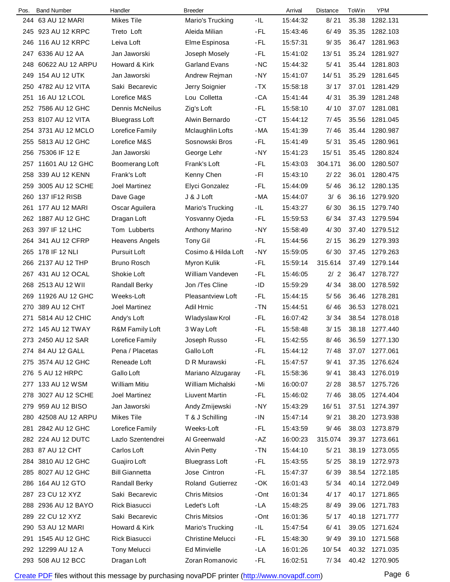| Pos. | <b>Band Number</b>   | Handler               | <b>Breeder</b>           |       | Arrival  | Distance | ToWin | <b>YPM</b>     |
|------|----------------------|-----------------------|--------------------------|-------|----------|----------|-------|----------------|
| 244. | 63 AU 12 MARI        | <b>Mikes Tile</b>     | Mario's Trucking         | -IL   | 15:44:32 | 8/21     | 35.38 | 1282.131       |
|      | 245 923 AU 12 KRPC   | Treto Loft            | Aleida Milian            | -FL   | 15:43:46 | 6/49     | 35.35 | 1282.103       |
| 246  | 116 AU 12 KRPC       | Leiva Loft            | Elme Espinosa            | -FL   | 15:57:31 | 9/35     | 36.47 | 1281.963       |
|      | 247 6336 AU 12 AA    | Jan Jaworski          | Joseph Mosely            | -FL   | 15:41:02 | 13/51    | 35.24 | 1281.927       |
|      | 248 60622 AU 12 ARPU | Howard & Kirk         | <b>Garland Evans</b>     | -NC   | 15:44:32 | 5/41     | 35.44 | 1281.803       |
|      | 249 154 AU 12 UTK    | Jan Jaworski          | Andrew Rejman            | -NY   | 15:41:07 | 14/51    | 35.29 | 1281.645       |
| 250  | 4782 AU 12 VITA      | Saki Becarevic        | Jerry Soignier           | -TX   | 15:58:18 | 3/17     | 37.01 | 1281.429       |
| 251  | 16 AU 12 LCOL        | Lorefice M&S          | Lou Colletta             | -CA   | 15:41:44 | 4/31     | 35.39 | 1281.248       |
|      | 252 7586 AU 12 GHC   | Dennis McNeilus       | Zig's Loft               | -FL   | 15:58:10 | 4/10     | 37.07 | 1281.081       |
|      | 253 8107 AU 12 VITA  | <b>Bluegrass Loft</b> | Alwin Bernardo           | $-CT$ | 15:44:12 | 7/45     | 35.56 | 1281.045       |
|      | 254 3731 AU 12 MCLO  | Lorefice Family       | Mclaughlin Lofts         | -MA   | 15:41:39 | 7/46     | 35.44 | 1280.987       |
|      | 255 5813 AU 12 GHC   | Lorefice M&S          | Sosnowski Bros           | -FL   | 15:41:49 | 5/31     | 35.45 | 1280.961       |
|      | 256 75306 IF 12 E    | Jan Jaworski          | George Lehr              | -NY   | 15:41:23 | 15/51    | 35.45 | 1280.824       |
|      | 257 11601 AU 12 GHC  | Boomerang Loft        | Frank's Loft             | -FL   | 15:43:03 | 304.171  | 36.00 | 1280.507       |
| 258  | 339 AU 12 KENN       | Frank's Loft          | Kenny Chen               | -FI   | 15:43:10 | 2/22     | 36.01 | 1280.475       |
| 259  | 3005 AU 12 SCHE      | Joel Martinez         | Elyci Gonzalez           | -FL   | 15:44:09 | 5/46     | 36.12 | 1280.135       |
| 260  | 137 IF12 RISB        | Dave Gage             | J & J Loft               | -MA   | 15:44:07 | 3/6      | 36.16 | 1279.920       |
| 261  | 177 AU 12 MARI       | Oscar Aguilera        | Mario's Trucking         | -IL   | 15:43:27 | 6/30     | 36.15 | 1279.740       |
| 262  | 1887 AU 12 GHC       | Dragan Loft           | Yosvanny Ojeda           | -FL   | 15:59:53 | 6/34     | 37.43 | 1279.594       |
|      | 263 397 IF 12 LHC    | Tom Lubberts          | <b>Anthony Marino</b>    | -NY   | 15:58:49 | 4/30     | 37.40 | 1279.512       |
|      | 264 341 AU 12 CFRP   | <b>Heavens Angels</b> | <b>Tony Gil</b>          | -FL   | 15:44:56 | 2/15     | 36.29 | 1279.393       |
|      | 265 178 IF 12 NLI    | Pursuit Loft          | Cosimo & Hilda Loft      | -NY   | 15:59:05 | 6/30     | 37.45 | 1279.263       |
| 266  | 2137 AU 12 THP       | <b>Bruno Rosch</b>    | Myron Kulik              | -FL   | 15:59:14 | 315.614  | 37.49 | 1279.144       |
|      | 267 431 AU 12 OCAL   | Shokie Loft           | William Vandeven         | -FL   | 15:46:05 | 2/2      | 36.47 | 1278.727       |
|      | 268 2513 AU 12 WII   | <b>Randall Berky</b>  | Jon /Tes Cline           | $-ID$ | 15:59:29 | 4/34     | 38.00 | 1278.592       |
| 269  | 11926 AU 12 GHC      | Weeks-Loft            | <b>Pleasantview Loft</b> | -FL   | 15:44:15 | 5/56     | 36.46 | 1278.281       |
| 270  | 389 AU 12 CHT        | Joel Martinez         | Adil Hrnic               | -TN   | 15:44:51 | 6/46     | 36.53 | 1278.021       |
|      | 271 5814 AU 12 CHIC  | Andy's Loft           | Wladyslaw Krol           | -FL   | 16:07:42 | 3/34     | 38.54 | 1278.018       |
|      | 272 145 AU 12 TWAY   | R&M Family Loft       | 3 Way Loft               | -FL   | 15:58:48 | 3/15     | 38.18 | 1277.440       |
|      | 273 2450 AU 12 SAR   | Lorefice Family       | Joseph Russo             | -FL   | 15:42:55 | 8/46     | 36.59 | 1277.130       |
|      | 274 84 AU 12 GALL    | Pena / Placetas       | Gallo Loft               | -FL   | 15:44:12 | 7/48     | 37.07 | 1277.061       |
|      | 275 3574 AU 12 GHC   | Reneade Loft          | D R Murawski             | -FL   | 15:47:57 | 9/41     | 37.35 | 1276.624       |
|      | 276 5 AU 12 HRPC     | Gallo Loft            | Mariano Alzugaray        | -FL   | 15:58:36 | 9/41     | 38.43 | 1276.019       |
|      | 277 133 AU 12 WSM    | <b>William Mitiu</b>  | William Michalski        | - Mi  | 16:00:07 | 2/28     | 38.57 | 1275.726       |
|      | 278 3027 AU 12 SCHE  | Joel Martinez         | <b>Liuvent Martin</b>    | -FL   | 15:46:02 | 7/46     | 38.05 | 1274.404       |
|      | 279 959 AU 12 BISO   | Jan Jaworski          | Andy Zmijewski           | -NY   | 15:43:29 | 16/51    | 37.51 | 1274.397       |
| 280  | 42508 AU 12 ARPU     | Mikes Tile            | T & J Schilling          | -IN   | 15:47:14 | 9/21     | 38.20 | 1273.938       |
|      | 281 2842 AU 12 GHC   | Lorefice Family       | Weeks-Loft               | -FL   | 15:43:59 | 9/46     | 38.03 | 1273.879       |
|      | 282 224 AU 12 DUTC   | Lazlo Szentendrei     | Al Greenwald             | -AZ   | 16:00:23 | 315.074  | 39.37 | 1273.661       |
|      | 283 87 AU 12 CHT     | Carlos Loft           | <b>Alvin Petty</b>       | - TN  | 15:44:10 | 5/21     | 38.19 | 1273.055       |
|      | 284 3810 AU 12 GHC   | Guajiro Loft          | <b>Bluegrass Loft</b>    | -FL   | 15:43:55 | 5/25     | 38.19 | 1272.973       |
|      | 285 8027 AU 12 GHC   | <b>Bill Giannetta</b> | Jose Cintron             | -FL   | 15:47:37 | 6/39     | 38.54 | 1272.185       |
|      | 286 164 AU 12 GTO    | <b>Randall Berky</b>  | <b>Roland Gutierrez</b>  | -OK   | 16:01:43 | 5/34     |       | 40.14 1272.049 |
|      | 287 23 CU 12 XYZ     | Saki Becarevic        | <b>Chris Mitsios</b>     | -Ont  | 16:01:34 | 4/17     | 40.17 | 1271.865       |
| 288  | 2936 AU 12 BAYO      | <b>Rick Biasucci</b>  | Ledet's Loft             | -LA   | 15:48:25 | 8/49     | 39.06 | 1271.783       |
|      | 289 22 CU 12 XYZ     | Saki Becarevic        | <b>Chris Mitsios</b>     | -Ont  | 16:01:36 | 5/17     | 40.18 | 1271.777       |
|      | 290 53 AU 12 MARI    | Howard & Kirk         | Mario's Trucking         | -IL   | 15:47:54 | 6/41     | 39.05 | 1271.624       |
| 291  | 1545 AU 12 GHC       | <b>Rick Biasucci</b>  | <b>Christine Melucci</b> | -FL   | 15:48:30 | 9/49     | 39.10 | 1271.568       |
|      | 292 12299 AU 12 A    | <b>Tony Melucci</b>   | Ed Minvielle             | -LA   | 16:01:26 | 10/54    |       | 40.32 1271.035 |
|      | 293 508 AU 12 BCC    | Dragan Loft           | Zoran Romanovic          | -FL   | 16:02:51 | 7/34     |       | 40.42 1270.905 |
|      |                      |                       |                          |       |          |          |       |                |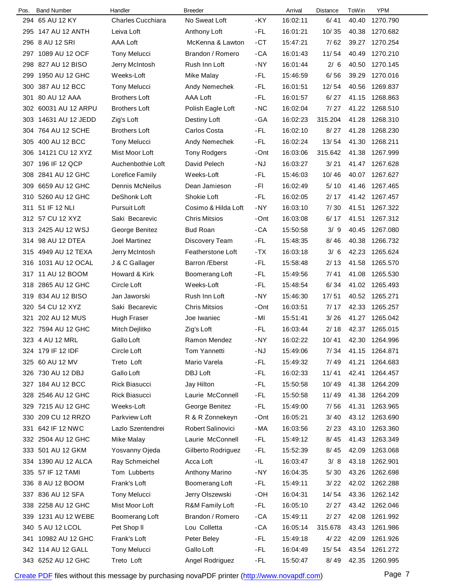| Pos. | <b>Band Number</b>   | Handler              | <b>Breeder</b>           |       | Arrival  | Distance | ToWin | <b>YPM</b>     |
|------|----------------------|----------------------|--------------------------|-------|----------|----------|-------|----------------|
|      | 294 65 AU 12 KY      | Charles Cucchiara    | No Sweat Loft            | -KY   | 16:02:11 | 6/41     | 40.40 | 1270.790       |
|      | 295 147 AU 12 ANTH   | Leiva Loft           | Anthony Loft             | -FL   | 16:01:21 | 10/35    | 40.38 | 1270.682       |
| 296  | 8 AU 12 SRI          | AAA Loft             | McKenna & Lawton         | $-CT$ | 15:47:21 | 7/62     | 39.27 | 1270.254       |
|      | 297 1089 AU 12 OCF   | <b>Tony Melucci</b>  | Brandon / Romero         | -CA   | 16:01:43 | 11/54    | 40.49 | 1270.210       |
|      | 298 827 AU 12 BISO   | Jerry McIntosh       | Rush Inn Loft            | -NY   | 16:01:44 | 2/6      | 40.50 | 1270.145       |
| 299  | 1950 AU 12 GHC       | Weeks-Loft           | Mike Malay               | -FL   | 15:46:59 | 6/56     | 39.29 | 1270.016       |
| 300  | 387 AU 12 BCC        | <b>Tony Melucci</b>  | Andy Nemechek            | -FL   | 16:01:51 | 12/54    | 40.56 | 1269.837       |
|      | 301 80 AU 12 AAA     | <b>Brothers Loft</b> | AAA Loft                 | -FL   | 16:01:57 | 6/27     | 41.15 | 1268.863       |
|      | 302 60031 AU 12 ARPU | <b>Brothers Loft</b> | Polish Eagle Loft        | $-NC$ | 16:02:04 | 7/27     |       | 41.22 1268.510 |
|      | 303 14631 AU 12 JEDD | Zig's Loft           | Destiny Loft             | -GA   | 16:02:23 | 315.204  | 41.28 | 1268.310       |
|      | 304 764 AU 12 SCHE   | <b>Brothers Loft</b> | Carlos Costa             | -FL   | 16:02:10 | 8/27     | 41.28 | 1268.230       |
|      | 305 400 AU 12 BCC    | <b>Tony Melucci</b>  | Andy Nemechek            | -FL   | 16:02:24 | 13/54    |       | 41.30 1268.211 |
|      | 306 14121 CU 12 XYZ  | Mist Moor Loft       | <b>Tony Rodgers</b>      | -Ont  | 16:03:06 | 315.642  | 41.38 | 1267.999       |
|      | 307 196 IF 12 QCP    | Auchenbothie Loft    | David Pelech             | -NJ   | 16:03:27 | 3/21     | 41.47 | 1267.628       |
| 308  | 2841 AU 12 GHC       | Lorefice Family      | Weeks-Loft               | -FL   | 15:46:03 | 10/46    | 40.07 | 1267.627       |
|      | 309 6659 AU 12 GHC   | Dennis McNeilus      | Dean Jamieson            | -FI   | 16:02:49 | 5/10     | 41.46 | 1267.465       |
|      | 310 5260 AU 12 GHC   | DeShonk Loft         | Shokie Loft              | -FL   | 16:02:05 | 2/17     |       | 41.42 1267.457 |
|      | 311 51 IF 12 NLI     | Pursuit Loft         | Cosimo & Hilda Loft      | $-NY$ | 16:03:10 | 7/30     | 41.51 | 1267.322       |
|      | 312 57 CU 12 XYZ     | Saki Becarevic       | <b>Chris Mitsios</b>     | -Ont  | 16:03:08 | 6/17     | 41.51 | 1267.312       |
|      | 313 2425 AU 12 WSJ   | George Benitez       | <b>Bud Roan</b>          | -CA   | 15:50:58 | 3/9      | 40.45 | 1267.080       |
|      | 314 98 AU 12 DTEA    | Joel Martinez        | Discovery Team           | -FL   | 15:48:35 | 8/46     | 40.38 | 1266.732       |
|      | 315 4949 AU 12 TEXA  | Jerry McIntosh       | <b>Featherstone Loft</b> | $-TX$ | 16:03:18 | 3/6      | 42.23 | 1265.624       |
|      | 316 1031 AU 12 OCAL  | J & C Gallager       | Barron / Eberst          | -FL   | 15:58:48 | 2/13     | 41.58 | 1265.570       |
|      | 317 11 AU 12 BOOM    | Howard & Kirk        | Boomerang Loft           | -FL   | 15:49:56 | 7/41     | 41.08 | 1265.530       |
|      | 318 2865 AU 12 GHC   | Circle Loft          | Weeks-Loft               | -FL   | 15:48:54 | 6/34     |       | 41.02 1265.493 |
|      | 319 834 AU 12 BISO   | Jan Jaworski         | Rush Inn Loft            | -NY   | 15:46:30 | 17/51    |       | 40.52 1265.271 |
|      | 320 54 CU 12 XYZ     | Saki Becarevic       | <b>Chris Mitsios</b>     | -Ont  | 16:03:51 | 7/17     | 42.33 | 1265.257       |
|      | 321 202 AU 12 MUS    | <b>Hugh Fraser</b>   | Joe Iwaniec              | -MI   | 15:51:41 | 3/26     | 41.27 | 1265.042       |
|      | 322 7594 AU 12 GHC   | Mitch Dejlitko       | Zig's Loft               | -FL   | 16:03:44 | 2/18     |       | 42.37 1265.015 |
|      | 323 4 AU 12 MRL      | Gallo Loft           | Ramon Mendez             | -NY   | 16:02:22 | 10/41    |       | 42.30 1264.996 |
|      | 324 179 IF 12 IDF    | Circle Loft          | Tom Yannetti             | -NJ   | 15:49:06 | 7/34     |       | 41.15 1264.871 |
|      | 325 60 AU 12 MV      | Treto Loft           | Mario Varela             | -FL   | 15:49:32 | 7/49     | 41.21 | 1264.683       |
|      | 326 730 AU 12 DBJ    | Gallo Loft           | DBJ Loft                 | -FL   | 16:02:33 | 11/41    | 42.41 | 1264.457       |
|      | 327 184 AU 12 BCC    | Rick Biasucci        | Jay Hilton               | -FL   | 15:50:58 | 10/49    | 41.38 | 1264.209       |
|      | 328 2546 AU 12 GHC   | Rick Biasucci        | Laurie McConnell         | -FL   | 15:50:58 | 11/49    | 41.38 | 1264.209       |
|      | 329 7215 AU 12 GHC   | Weeks-Loft           | George Benitez           | -FL   | 15:49:00 | 7/56     | 41.31 | 1263.965       |
|      | 330 209 CU 12 RRZO   | Parkview Loft        | R & R Zonnekeyn          | -Ont  | 16:05:21 | 3/40     |       | 43.12 1263.690 |
|      | 331 642 IF 12 NWC    | Lazlo Szentendrei    | Robert Salinovici        | $-MA$ | 16:03:56 | 2/23     |       | 43.10 1263.360 |
|      | 332 2504 AU 12 GHC   | Mike Malay           | Laurie McConnell         | -FL   | 15:49:12 | 8/45     |       | 41.43 1263.349 |
|      | 333 501 AU 12 GKM    | Yosvanny Ojeda       | Gilberto Rodriguez       | -FL   | 15:52:39 | 8/45     | 42.09 | 1263.068       |
|      | 334 1390 AU 12 ALCA  | Ray Schmeichel       | Acca Loft                | -IL   | 16:03:47 | 3/8      | 43.18 | 1262.901       |
|      | 335 57 IF 12 TAMI    | Tom Lubberts         | Anthony Marino           | -NY   | 16:04:35 | 5/30     | 43.26 | 1262.698       |
|      | 336 8 AU 12 BOOM     | Frank's Loft         | Boomerang Loft           | -FL   | 15:49:11 | 3/22     |       | 42.02 1262.288 |
|      | 337 836 AU 12 SFA    | <b>Tony Melucci</b>  | Jerry Olszewski          | -OH   | 16:04:31 | 14/54    |       | 43.36 1262.142 |
|      | 338 2258 AU 12 GHC   | Mist Moor Loft       | R&M Family Loft          | -FL   | 16:05:10 | 2/27     |       | 43.42 1262.046 |
|      | 339 1231 AU 12 WEBE  | Boomerang Loft       | Brandon / Romero         | -CA   | 15:49:11 | 2/27     | 42.08 | 1261.992       |
|      | 340 5 AU 12 LCOL     | Pet Shop II          | Lou Colletta             | -CA   | 16:05:14 | 315.678  |       | 43.43 1261.986 |
|      | 341 10982 AU 12 GHC  | Frank's Loft         | Peter Beley              | -FL   | 15:49:18 | 4/22     | 42.09 | 1261.926       |
|      | 342 114 AU 12 GALL   | <b>Tony Melucci</b>  | Gallo Loft               | -FL   | 16:04:49 | 15/54    |       | 43.54 1261.272 |
|      | 343 6252 AU 12 GHC   | Treto Loft           | Angel Rodriguez          | -FL   | 15:50:47 | 8/49     |       | 42.35 1260.995 |
|      |                      |                      |                          |       |          |          |       |                |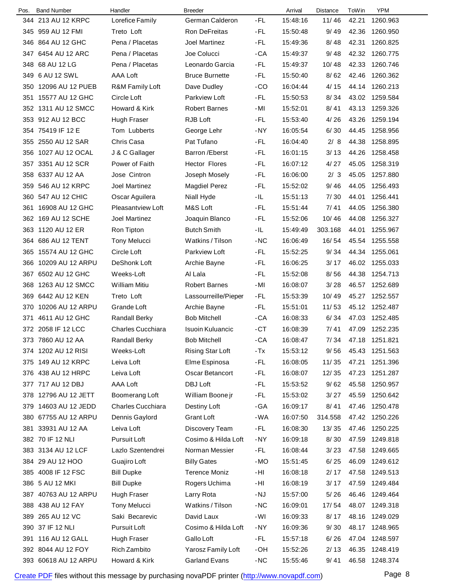| Pos. | <b>Band Number</b>   | Handler                  | <b>Breeder</b>          |       | Arrival  | <b>Distance</b> | ToWin          | <b>YPM</b>           |
|------|----------------------|--------------------------|-------------------------|-------|----------|-----------------|----------------|----------------------|
|      | 344 213 AU 12 KRPC   | Lorefice Family          | German Calderon         | -FL   | 15:48:16 | 11/46           | 42.21          | 1260.963             |
|      | 345 959 AU 12 FMI    | Treto Loft               | Ron DeFreitas           | -FL   | 15:50:48 | 9/49            | 42.36          | 1260.950             |
|      | 346 864 AU 12 GHC    | Pena / Placetas          | <b>Joel Martinez</b>    | -FL   | 15:49:36 | 8/48            | 42.31          | 1260.825             |
|      | 347 6454 AU 12 ARC   | Pena / Placetas          | Joe Colucci             | -CA   | 15:49:37 | 9/48            | 42.32          | 1260.775             |
|      | 348 68 AU 12 LG      | Pena / Placetas          | Leonardo Garcia         | -FL   | 15:49:37 | 10/48           | 42.33          | 1260.746             |
|      | 349 6 AU 12 SWL      | <b>AAA Loft</b>          | <b>Bruce Burnette</b>   | -FL   | 15:50:40 | 8/62            | 42.46          | 1260.362             |
|      | 350 12096 AU 12 PUEB | R&M Family Loft          | Dave Dudley             | $-CO$ | 16:04:44 | 4/15            | 44.14          | 1260.213             |
| 351  | 15577 AU 12 GHC      | Circle Loft              | Parkview Loft           | -FL   | 15:50:53 | 8/34            | 43.02          | 1259.584             |
|      | 352 1311 AU 12 SMCC  | Howard & Kirk            | <b>Robert Barnes</b>    | -MI   | 15:52:01 | 8/41            | 43.13          | 1259.326             |
|      | 353 912 AU 12 BCC    | Hugh Fraser              | RJB Loft                | -FL   | 15:53:40 | 4/26            | 43.26          | 1259.194             |
|      | 354 75419 IF 12 E    | Tom Lubberts             | George Lehr             | $-NY$ | 16:05:54 | 6/30            | 44.45          | 1258.956             |
|      | 355 2550 AU 12 SAR   | Chris Casa               | Pat Tufano              | -FL   | 16:04:40 | 2/8             | 44.38          | 1258.895             |
|      | 356 1027 AU 12 OCAL  | J & C Gallager           | <b>Barron</b> / Eberst  | -FL   | 16:01:15 | 3/13            | 44.26          | 1258.458             |
|      | 357 3351 AU 12 SCR   | Power of Faith           | <b>Hector Flores</b>    | -FL   | 16:07:12 | 4/27            | 45.05          | 1258.319             |
|      | 358 6337 AU 12 AA    | Jose Cintron             | Joseph Mosely           | -FL   | 16:06:00 | 2/3             | 45.05          | 1257.880             |
|      | 359 546 AU 12 KRPC   | Joel Martinez            | <b>Magdiel Perez</b>    | -FL   | 15:52:02 | 9/46            | 44.05          | 1256.493             |
|      | 360 547 AU 12 CHIC   | Oscar Aguilera           | Niall Hyde              | -IL   | 15:51:13 | 7/30            | 44.01          | 1256.441             |
| 361  | 16908 AU 12 GHC      | <b>Pleasantview Loft</b> | M&S Loft                | -FL   | 15:51:44 | 7/41            | 44.05          | 1256.380             |
|      | 362 169 AU 12 SCHE   | Joel Martinez            | Joaquin Blanco          | -FL   | 15:52:06 | 10/46           | 44.08          | 1256.327             |
|      | 363 1120 AU 12 ER    | Ron Tipton               | <b>Butch Smith</b>      | -IL   | 15:49:49 | 303.168         | 44.01          | 1255.967             |
|      | 364 686 AU 12 TENT   | <b>Tony Melucci</b>      | Watkins / Tilson        | -NC   | 16:06:49 | 16/54           | 45.54          | 1255.558             |
|      | 365 15574 AU 12 GHC  | Circle Loft              | Parkview Loft           | -FL   | 15:52:25 | 9/34            | 44.34          | 1255.061             |
|      | 366 10209 AU 12 ARPU | DeShonk Loft             | Archie Bayne            | -FL   | 16:06:25 | 3/17            | 46.02          | 1255.033             |
|      | 367 6502 AU 12 GHC   | Weeks-Loft               | Al Lala                 | -FL   | 15:52:08 | 8/56            | 44.38          | 1254.713             |
|      | 368 1263 AU 12 SMCC  | <b>William Mitiu</b>     | <b>Robert Barnes</b>    | -MI   | 16:08:07 | 3/28            | 46.57          | 1252.689             |
|      | 369 6442 AU 12 KEN   | Treto Loft               | Lassourreille/Pieper    | -FL   | 15:53:39 | 10/49           |                | 45.27 1252.557       |
|      | 370 10206 AU 12 ARPU | Grande Loft              | Archie Bayne            | -FL   | 15:51:01 | 11/53           |                | 45.12 1252.487       |
| 371  | 4611 AU 12 GHC       | <b>Randall Berky</b>     | <b>Bob Mitchell</b>     | -CA   | 16:08:33 | 6/34            | 47.03          | 1252.485             |
|      | 372 2058 IF 12 LCC   | <b>Charles Cucchiara</b> | <b>Isuoin Kuluancic</b> | -CT   | 16:08:39 | 7/41            |                | 47.09 1252.235       |
|      | 373 7860 AU 12 AA    | <b>Randall Berky</b>     | <b>Bob Mitchell</b>     | -CA   | 16:08:47 | 7/34            |                | 47.18 1251.821       |
|      | 374 1202 AU 12 RISI  | Weeks-Loft               | Rising Star Loft        | $-Tx$ | 15:53:12 | 9/56            |                | 45.43 1251.563       |
|      | 375 149 AU 12 KRPC   | Leiva Loft               | Elme Espinosa           | -FL   | 16:08:05 | 11/35           | 47.21          | 1251.396             |
|      | 376 438 AU 12 HRPC   | Leiva Loft               | Oscar Betancort         | -FL   | 16:08:07 | 12/35           | 47.23          | 1251.287             |
|      | 377 717 AU 12 DBJ    | AAA Loft                 | DBJ Loft                | -FL   | 15:53:52 | 9/62            | 45.58          | 1250.957             |
|      | 378 12796 AU 12 JETT | Boomerang Loft           | William Boone jr        | -FL   | 15:53:02 | 3/27            | 45.59          | 1250.642             |
|      | 379 14603 AU 12 JEDD | Charles Cucchiara        | Destiny Loft            | -GA   | 16:09:17 | 8/41            | 47.46          | 1250.478             |
|      | 380 67755 AU 12 ARPU | Dennis Gaylord           | <b>Grant Loft</b>       | -WA   | 16:07:50 | 314.558         | 47.42          | 1250.226             |
| 381  | 33931 AU 12 AA       | Leiva Loft               | Discovery Team          | -FL   | 16:08:30 | 13/35           | 47.46          | 1250.225             |
|      | 382 70 IF 12 NLI     | Pursuit Loft             | Cosimo & Hilda Loft     | -NY   | 16:09:18 | 8/30            | 47.59          | 1249.818             |
|      | 383 3134 AU 12 LCF   | Lazlo Szentendrei        | Norman Messier          | -FL   | 16:08:44 | 3/23            | 47.58          | 1249.665             |
|      | 384 29 AU 12 HOO     | Guajiro Loft             | <b>Billy Gates</b>      | -MO   | 15:51:45 | 6/25            | 46.09          | 1249.612             |
|      | 385 4008 IF 12 FSC   | <b>Bill Dupke</b>        | <b>Terence Moniz</b>    | -HI   | 16:08:18 | 2/17            | 47.58          | 1249.513             |
|      |                      |                          |                         |       |          |                 |                |                      |
|      | 386 5 AU 12 MKI      | <b>Bill Dupke</b>        | Rogers Uchima           | -HI   | 16:08:19 | 3/17            | 47.59<br>46.46 | 1249.484<br>1249.464 |
|      | 387 40763 AU 12 ARPU | <b>Hugh Fraser</b>       | Larry Rota              | -NJ   | 15:57:00 | 5/26            |                |                      |
|      | 388 438 AU 12 FAY    | <b>Tony Melucci</b>      | Watkins / Tilson        | $-NC$ | 16:09:01 | 17/54           | 48.07          | 1249.318             |
|      | 389 265 AU 12 VC     | Saki Becarevic           | David Laux              | -WI   | 16:09:33 | 8/17            |                | 48.16 1249.029       |
|      | 390 37 IF 12 NLI     | Pursuit Loft             | Cosimo & Hilda Loft     | -NY   | 16:09:36 | 9/30            |                | 48.17 1248.965       |
| 391  | 116 AU 12 GALL       | Hugh Fraser              | Gallo Loft              | -FL   | 15:57:18 | 6/26            |                | 47.04 1248.597       |
|      | 392 8044 AU 12 FOY   | Rich Zambito             | Yarosz Family Loft      | -OH   | 15:52:26 | 2/13            | 46.35          | 1248.419             |
|      | 393 60618 AU 12 ARPU | Howard & Kirk            | <b>Garland Evans</b>    | $-NC$ | 15:55:46 | 9/41            |                | 46.58 1248.374       |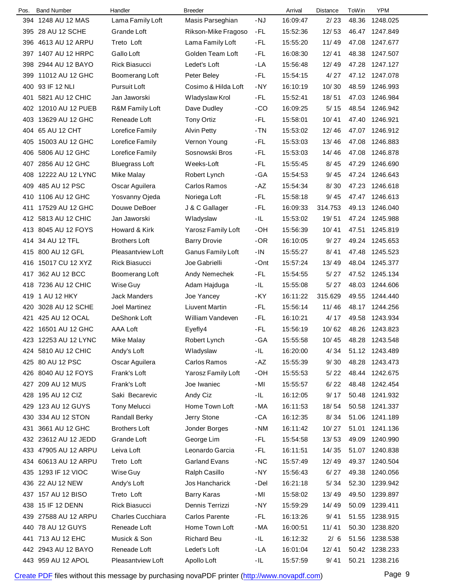| Pos. | <b>Band Number</b>   | Handler               | <b>Breeder</b>        |       | Arrival  | <b>Distance</b> | ToWin | <b>YPM</b>     |  |
|------|----------------------|-----------------------|-----------------------|-------|----------|-----------------|-------|----------------|--|
|      | 394 1248 AU 12 MAS   | Lama Family Loft      | Masis Parseghian      | $-NJ$ | 16:09:47 | 2/23            | 48.36 | 1248.025       |  |
|      | 395 28 AU 12 SCHE    | Grande Loft           | Rikson-Mike Fragoso   | -FL   | 15:52:36 | 12/53           | 46.47 | 1247.849       |  |
| 396  | 4613 AU 12 ARPU      | Treto Loft            | Lama Family Loft      | -FL   | 15:55:20 | 11/49           | 47.08 | 1247.677       |  |
| 397  | 1407 AU 12 HRPC      | Gallo Loft            | Golden Team Loft      | -FL   | 16:08:30 | 12/41           | 48.38 | 1247.507       |  |
| 398  | 2944 AU 12 BAYO      | <b>Rick Biasucci</b>  | Ledet's Loft          | -LA   | 15:56:48 | 12/49           | 47.28 | 1247.127       |  |
| 399  | 11012 AU 12 GHC      | Boomerang Loft        | Peter Beley           | -FL   | 15:54:15 | 4/27            |       | 47.12 1247.078 |  |
| 400  | 93 IF 12 NLI         | <b>Pursuit Loft</b>   | Cosimo & Hilda Loft   | $-NY$ | 16:10:19 | 10/30           | 48.59 | 1246.993       |  |
| 401  | 5821 AU 12 CHIC      | Jan Jaworski          | Wladyslaw Krol        | -FL   | 15:52:41 | 18/51           | 47.03 | 1246.984       |  |
|      | 402 12010 AU 12 PUEB | R&M Family Loft       | Dave Dudley           | -CO   | 16:09:25 | $5/15$          |       | 48.54 1246.942 |  |
|      | 403 13629 AU 12 GHC  | Reneade Loft          | <b>Tony Ortiz</b>     | -FL   | 15:58:01 | 10/41           | 47.40 | 1246.921       |  |
|      | 404 65 AU 12 CHT     | Lorefice Family       | <b>Alvin Petty</b>    | -TN   | 15:53:02 | 12/46           | 47.07 | 1246.912       |  |
| 405  | 15003 AU 12 GHC      | Lorefice Family       | Vernon Young          | -FL   | 15:53:03 | 13/46           | 47.08 | 1246.883       |  |
| 406  | 5806 AU 12 GHC       | Lorefice Family       | Sosnowski Bros        | -FL   | 15:53:03 | 14/46           | 47.08 | 1246.878       |  |
|      | 407 2856 AU 12 GHC   | <b>Bluegrass Loft</b> | Weeks-Loft            | -FL   | 15:55:45 | 8/45            | 47.29 | 1246.690       |  |
| 408  | 12222 AU 12 LYNC     | Mike Malay            | Robert Lynch          | -GA   | 15:54:53 | 9/45            | 47.24 | 1246.643       |  |
| 409  | 485 AU 12 PSC        | Oscar Aguilera        | Carlos Ramos          | $-AZ$ | 15:54:34 | 8/30            | 47.23 | 1246.618       |  |
|      | 410 1106 AU 12 GHC   | Yosvanny Ojeda        | Noriega Loft          | -FL   | 15:58:18 | 9/45            | 47.47 | 1246.613       |  |
| 411  | 17529 AU 12 GHC      | Douwe DeBoer          | J & C Gallager        | -FL   | 16:09:33 | 314.753         | 49.13 | 1246.040       |  |
|      | 412 5813 AU 12 CHIC  | Jan Jaworski          | Wladyslaw             | -IL   | 15:53:02 | 19/51           | 47.24 | 1245.988       |  |
|      | 413 8045 AU 12 FOYS  | Howard & Kirk         | Yarosz Family Loft    | -OH   | 15:56:39 | 10/41           | 47.51 | 1245.819       |  |
|      | 414 34 AU 12 TFL     | <b>Brothers Loft</b>  | <b>Barry Drovie</b>   | -OR   | 16:10:05 | 9/27            |       | 49.24 1245.653 |  |
|      | 415 800 AU 12 GFL    | Pleasantview Loft     | Ganus Family Loft     | $-IN$ | 15:55:27 | 8/41            | 47.48 | 1245.523       |  |
| 416  | 15017 CU 12 XYZ      | Rick Biasucci         | Joe Gabrielli         | -Ont  | 15:57:24 | 13/49           | 48.04 | 1245.377       |  |
|      | 417 362 AU 12 BCC    | Boomerang Loft        | Andy Nemechek         | -FL   | 15:54:55 | 5/27            | 47.52 | 1245.134       |  |
|      | 418 7236 AU 12 CHIC  | Wise Guy              | Adam Hajduga          | -IL   | 15:55:08 | 5/27            | 48.03 | 1244.606       |  |
|      | 419 1 AU 12 HKY      | <b>Jack Manders</b>   | Joe Yancey            | -KY   | 16:11:22 | 315.629         | 49.55 | 1244.440       |  |
| 420  | 3028 AU 12 SCHE      | Joel Martinez         | <b>Liuvent Martin</b> | -FL   | 15:56:14 | 11/46           | 48.17 | 1244.256       |  |
| 421  | 425 AU 12 OCAL       | <b>DeShonk Loft</b>   | William Vandeven      | -FL   | 16:10:21 | 4/17            | 49.58 | 1243.934       |  |
|      | 422 16501 AU 12 GHC  | AAA Loft              | Eyefly4               | -FL   | 15:56:19 | 10/62           |       | 48.26 1243.823 |  |
|      | 423 12253 AU 12 LYNC | <b>Mike Malay</b>     | Robert Lynch          | $-GA$ | 15:55:58 | 10/45           |       | 48.28 1243.548 |  |
|      | 424 5810 AU 12 CHIC  | Andy's Loft           | Wladyslaw             | -IL   | 16:20:00 | 4/34            |       | 51.12 1243.489 |  |
|      | 425 80 AU 12 PSC     | Oscar Aguilera        | Carlos Ramos          | -AZ   | 15:55:39 | 9/30            | 48.28 | 1243.473       |  |
|      | 426 8040 AU 12 FOYS  | Frank's Loft          | Yarosz Family Loft    | -OH   | 15:55:53 | 5/22            |       | 48.44 1242.675 |  |
|      | 427 209 AU 12 MUS    | Frank's Loft          | Joe Iwaniec           | - MI  | 15:55:57 | 6/22            | 48.48 | 1242.454       |  |
|      | 428 195 AU 12 CIZ    | Saki Becarevic        | Andy Ciz              | -IL.  | 16:12:05 | 9/17            | 50.48 | 1241.932       |  |
|      | 429 123 AU 12 GUYS   | <b>Tony Melucci</b>   | Home Town Loft        | -MA   | 16:11:53 | 18/54           |       | 50.58 1241.337 |  |
| 430  | 334 AU 12 STON       | <b>Randall Berky</b>  | Jerry Stone           | -CA   | 16:12:35 | 8/34            | 51.06 | 1241.189       |  |
| 431  | 3661 AU 12 GHC       | <b>Brothers Loft</b>  | Jonder Borges         | -NM   | 16:11:42 | 10/27           | 51.01 | 1241.136       |  |
|      | 432 23612 AU 12 JEDD | Grande Loft           | George Lim            | -FL   | 15:54:58 | 13/53           | 49.09 | 1240.990       |  |
|      | 433 47905 AU 12 ARPU | Leiva Loft            | Leonardo Garcia       | -FL   | 16:11:51 | 14/35           |       | 51.07 1240.838 |  |
|      | 434 60613 AU 12 ARPU | Treto Loft            | <b>Garland Evans</b>  | $-NC$ | 15:57:49 | 12/49           | 49.37 | 1240.504       |  |
|      | 435 1293 IF 12 VIOC  | Wise Guy              | Ralph Casillo         | -NY   | 15:56:43 | 6/27            | 49.38 | 1240.056       |  |
|      | 436 22 AU 12 NEW     | Andy's Loft           | Jos Hancharick        | -Del  | 16:21:18 | 5/34            |       | 52.30 1239.942 |  |
|      | 437 157 AU 12 BISO   | Treto Loft            | <b>Barry Karas</b>    | -MI   | 15:58:02 | 13/49           | 49.50 | 1239.897       |  |
| 438  | 15 IF 12 DENN        | Rick Biasucci         | Dennis Terrizzi       | -NY   | 15:59:29 | 14/49           | 50.09 | 1239.411       |  |
|      | 439 27588 AU 12 ARPU | Charles Cucchiara     | Carlos Parente        | -FL   | 16:13:26 | 9/41            | 51.55 | 1238.915       |  |
|      | 440 78 AU 12 GUYS    | Reneade Loft          | Home Town Loft        | -MA   | 16:00:51 | 11/41           |       | 50.30 1238.820 |  |
|      | 441 713 AU 12 EHC    | Musick & Son          | <b>Richard Beu</b>    | -IL.  | 16:12:32 | 2/6             |       | 51.56 1238.538 |  |
|      | 442 2943 AU 12 BAYO  | Reneade Loft          | Ledet's Loft          | -LA   | 16:01:04 | 12/41           |       | 50.42 1238.233 |  |
|      | 443 959 AU 12 APOL   | Pleasantview Loft     | Apollo Loft           | -IL   | 15:57:59 | 9/41            | 50.21 | 1238.216       |  |
|      |                      |                       |                       |       |          |                 |       |                |  |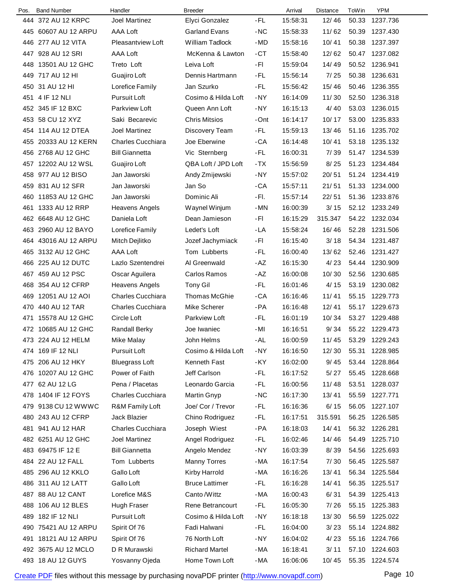| Pos. | <b>Band Number</b>   | Handler                  | <b>Breeder</b>        |      | Arrival  | Distance | ToWin | <b>YPM</b>     |
|------|----------------------|--------------------------|-----------------------|------|----------|----------|-------|----------------|
|      | 444 372 AU 12 KRPC   | <b>Joel Martinez</b>     | Elyci Gonzalez        | -FL  | 15:58:31 | 12/46    | 50.33 | 1237.736       |
|      | 445 60607 AU 12 ARPU | AAA Loft                 | <b>Garland Evans</b>  | -NC  | 15:58:33 | 11/62    | 50.39 | 1237.430       |
|      | 446 277 AU 12 VITA   | <b>Pleasantview Loft</b> | William Tadlock       | -MD  | 15:58:16 | 10/41    | 50.38 | 1237.397       |
|      | 447 928 AU 12 SRI    | AAA Loft                 | McKenna & Lawton      | -CT  | 15:58:40 | 12/62    | 50.47 | 1237.082       |
| 448  | 13501 AU 12 GHC      | Treto Loft               | Leiva Loft            | -FI  | 15:59:04 | 14/49    | 50.52 | 1236.941       |
|      | 449 717 AU 12 HI     | Guajiro Loft             | Dennis Hartmann       | -FL  | 15:56:14 | 7/25     | 50.38 | 1236.631       |
| 450  | 31 AU 12 HI          | Lorefice Family          | Jan Szurko            | -FL  | 15:56:42 | 15/46    | 50.46 | 1236.355       |
|      | 451 4 IF 12 NLI      | Pursuit Loft             | Cosimo & Hilda Loft   | -NY  | 16:14:09 | 11/30    | 52.50 | 1236.318       |
|      | 452 345 IF 12 BXC    | Parkview Loft            | Queen Ann Loft        | -NY  | 16:15:13 | 4/40     | 53.03 | 1236.015       |
|      | 453 58 CU 12 XYZ     | Saki Becarevic           | <b>Chris Mitsios</b>  | -Ont | 16:14:17 | 10/17    | 53.00 | 1235.833       |
|      | 454 114 AU 12 DTEA   | Joel Martinez            | Discovery Team        | -FL  | 15:59:13 | 13/46    | 51.16 | 1235.702       |
|      | 455 20333 AU 12 KERN | <b>Charles Cucchiara</b> | Joe Eberwine          | -CA  | 16:14:48 | 10/41    | 53.18 | 1235.132       |
|      | 456 2768 AU 12 GHC   | <b>Bill Giannetta</b>    | Vic Sternberg         | -FL  | 16:00:31 | 7/39     | 51.47 | 1234.539       |
|      | 457 12202 AU 12 WSL  | Guajiro Loft             | QBA Loft / JPD Loft   | -TX  | 15:56:59 | 8/25     | 51.23 | 1234.484       |
| 458  | 977 AU 12 BISO       | Jan Jaworski             | Andy Zmijewski        | -NY  | 15:57:02 | 20/51    | 51.24 | 1234.419       |
|      | 459 831 AU 12 SFR    | Jan Jaworski             | Jan So                | -CA  | 15:57:11 | 21/51    | 51.33 | 1234.000       |
| 460  | 11853 AU 12 GHC      | Jan Jaworski             | Dominic Ali           | -FI. | 15:57:14 | 22/51    | 51.36 | 1233.876       |
| 461  | 1333 AU 12 RRP       | <b>Heavens Angels</b>    | Waynel Winjum         | -MN  | 16:00:39 | 3/15     |       | 52.12 1233.249 |
|      | 462 6648 AU 12 GHC   | Daniela Loft             | Dean Jamieson         | -FI  | 16:15:29 | 315.347  | 54.22 | 1232.034       |
|      | 463 2960 AU 12 BAYO  | Lorefice Family          | Ledet's Loft          | -LA  | 15:58:24 | 16/46    | 52.28 | 1231.506       |
|      | 464 43016 AU 12 ARPU | Mitch Dejlitko           | Jozef Jachymiack      | -FI  | 16:15:40 | 3/18     | 54.34 | 1231.487       |
|      | 465 3132 AU 12 GHC   | AAA Loft                 | Tom Lubberts          | -FL  | 16:00:40 | 13/62    | 52.46 | 1231.427       |
| 466  | 225 AU 12 DUTC       | Lazlo Szentendrei        | Al Greenwald          | -AZ  | 16:15:30 | 4/23     | 54.44 | 1230.909       |
| 467  | 459 AU 12 PSC        | Oscar Aguilera           | Carlos Ramos          | -AZ  | 16:00:08 | 10/30    | 52.56 | 1230.685       |
| 468  | 354 AU 12 CFRP       | <b>Heavens Angels</b>    | <b>Tony Gil</b>       | -FL  | 16:01:46 | 4/15     | 53.19 | 1230.082       |
| 469  | 12051 AU 12 AOI      | <b>Charles Cucchiara</b> | Thomas McGhie         | -CA  | 16:16:46 | 11/41    | 55.15 | 1229.773       |
| 470  | 440 AU 12 TAR        | <b>Charles Cucchiara</b> | Mike Scherer          | -PA  | 16:16:48 | 12/41    | 55.17 | 1229.673       |
| 471  | 15578 AU 12 GHC      | Circle Loft              | Parkview Loft         | -FL  | 16:01:19 | 10/34    | 53.27 | 1229.488       |
|      | 472 10685 AU 12 GHC  | <b>Randall Berky</b>     | Joe Iwaniec           | -MI  | 16:16:51 | 9/34     |       | 55.22 1229.473 |
|      | 473 224 AU 12 HELM   | <b>Mike Malay</b>        | John Helms            | -AL  | 16:00:59 | 11/45    | 53.29 | 1229.243       |
|      | 474 169 IF 12 NLI    | <b>Pursuit Loft</b>      | Cosimo & Hilda Loft   | -NY  | 16:16:50 | 12/30    | 55.31 | 1228.985       |
|      | 475 206 AU 12 HKY    | <b>Bluegrass Loft</b>    | Kenneth Fast          | -KY  | 16:02:00 | 9/45     | 53.44 | 1228.864       |
|      | 476 10207 AU 12 GHC  | Power of Faith           | Jeff Carlson          | -FL  | 16:17:52 | 5/27     | 55.45 | 1228.668       |
|      | 477 62 AU 12 LG      | Pena / Placetas          | Leonardo Garcia       | -FL  | 16:00:56 | 11/48    | 53.51 | 1228.037       |
|      | 478 1404 IF 12 FOYS  | Charles Cucchiara        | Martin Gnyp           | -NC  | 16:17:30 | 13/41    | 55.59 | 1227.771       |
|      | 479 9138 CU 12 WWWC  | R&M Family Loft          | Joe/ Cor / Trevor     | -FL  | 16:16:36 | 6/15     | 56.05 | 1227.107       |
| 480  | 243 AU 12 CFRP       | Jack Blazier             | Chino Rodriguez       | -FL  | 16:17:51 | 315.591  | 56.25 | 1226.585       |
|      | 481 941 AU 12 HAR    | <b>Charles Cucchiara</b> | Joseph Wiest          | -PA  | 16:18:03 | 14/41    | 56.32 | 1226.281       |
|      | 482 6251 AU 12 GHC   | Joel Martinez            | Angel Rodriguez       | -FL  | 16:02:46 | 14/46    | 54.49 | 1225.710       |
|      | 483 69475 IF 12 E    | <b>Bill Giannetta</b>    | Angelo Mendez         | -NY  | 16:03:39 | 8/39     | 54.56 | 1225.693       |
|      | 484 22 AU 12 FALL    | Tom Lubberts             | <b>Manny Torres</b>   | -MA  | 16:17:54 | 7/30     | 56.45 | 1225.587       |
|      | 485 296 AU 12 KKLO   | Gallo Loft               | Kirby Harrold         | -MA  | 16:16:26 | 13/41    | 56.34 | 1225.584       |
|      | 486 311 AU 12 LATT   | Gallo Loft               | <b>Bruce Lattimer</b> | -FL  | 16:16:28 | 14/41    | 56.35 | 1225.517       |
|      | 487 88 AU 12 CANT    | Lorefice M&S             | Canto /Wittz          | -MA  | 16:00:43 | 6/31     | 54.39 | 1225.413       |
| 488  | 106 AU 12 BLES       | <b>Hugh Fraser</b>       | Rene Betrancourt      | -FL  | 16:05:30 | 7/26     | 55.15 | 1225.383       |
| 489  | 182 IF 12 NLI        | Pursuit Loft             | Cosimo & Hilda Loft   | -NY  | 16:18:18 | 13/30    | 56.59 | 1225.022       |
|      | 490 75421 AU 12 ARPU | Spirit Of 76             | Fadi Halwani          | -FL  | 16:04:00 | 3/23     |       | 55.14 1224.882 |
| 491  | 18121 AU 12 ARPU     | Spirit Of 76             | 76 North Loft         | -NY  | 16:04:02 | 4/23     | 55.16 | 1224.766       |
|      | 492 3675 AU 12 MCLO  | D R Murawski             | <b>Richard Martel</b> | -MA  | 16:18:41 | 3/11     | 57.10 | 1224.603       |
|      | 493 18 AU 12 GUYS    | Yosvanny Ojeda           | Home Town Loft        | -MA  | 16:06:06 | 10/45    | 55.35 | 1224.574       |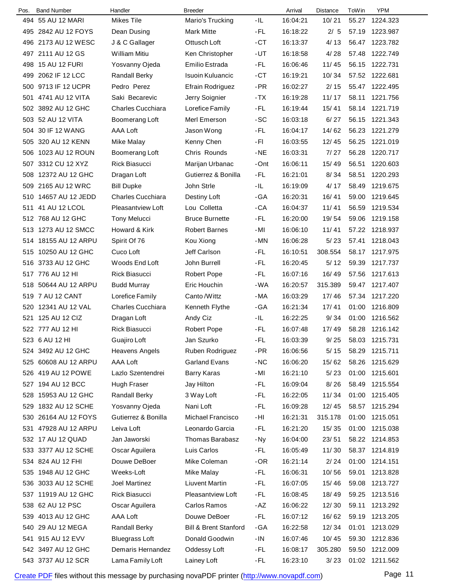| Pos. | <b>Band Number</b>   | Handler                  | <b>Breeder</b>                   |       | Arrival  | Distance | ToWin | <b>YPM</b>     |
|------|----------------------|--------------------------|----------------------------------|-------|----------|----------|-------|----------------|
|      | 494 55 AU 12 MARI    | <b>Mikes Tile</b>        | Mario's Trucking                 | -IL   | 16:04:21 | 10/21    | 55.27 | 1224.323       |
|      | 495 2842 AU 12 FOYS  | Dean Dusing              | <b>Mark Mitte</b>                | -FL   | 16:18:22 | 2/5      | 57.19 | 1223.987       |
|      | 496 2173 AU 12 WESC  | J & C Gallager           | Ottusch Loft                     | -CT   | 16:13:37 | 4/13     | 56.47 | 1223.782       |
|      | 497 2111 AU 12 GS    | <b>William Mitiu</b>     | Ken Christopher                  | -UT   | 16:18:58 | 4/28     | 57.48 | 1222.749       |
|      | 498 15 AU 12 FURI    | Yosvanny Ojeda           | Emilio Estrada                   | -FL   | 16:06:46 | 11/45    | 56.15 | 1222.731       |
|      | 499 2062 IF 12 LCC   | <b>Randall Berky</b>     | Isuoin Kuluancic                 | -CT   | 16:19:21 | 10/34    | 57.52 | 1222.681       |
|      | 500 9713 IF 12 UCPR  | Pedro Perez              | Efrain Rodriguez                 | $-PR$ | 16:02:27 | 2/15     | 55.47 | 1222.495       |
|      | 501 4741 AU 12 VITA  | Saki Becarevic           | Jerry Soignier                   | -TX   | 16:19:28 | 11/17    | 58.11 | 1221.756       |
|      | 502 3892 AU 12 GHC   | <b>Charles Cucchiara</b> | Lorefice Family                  | -FL   | 16:19:44 | 15/41    | 58.14 | 1221.719       |
|      | 503 52 AU 12 VITA    | Boomerang Loft           | Merl Emerson                     | -SC   | 16:03:18 | 6/27     | 56.15 | 1221.343       |
|      | 504 30 IF 12 WANG    | AAA Loft                 | Jason Wong                       | -FL   | 16:04:17 | 14/62    | 56.23 | 1221.279       |
|      | 505 320 AU 12 KENN   | Mike Malay               | Kenny Chen                       | -FI   | 16:03:55 | 12/45    | 56.25 | 1221.019       |
| 506  | 1023 AU 12 ROUN      | Boomerang Loft           | Chris Rounds                     | $-NE$ | 16:03:31 | 7/27     | 56.28 | 1220.717       |
|      | 507 3312 CU 12 XYZ   | <b>Rick Biasucci</b>     | Marijan Urbanac                  | -Ont  | 16:06:11 | 15/49    | 56.51 | 1220.603       |
|      | 508 12372 AU 12 GHC  | Dragan Loft              | Gutierrez & Bonilla              | -FL   | 16:21:01 | 8/34     | 58.51 | 1220.293       |
|      | 509 2165 AU 12 WRC   | <b>Bill Dupke</b>        | John Strle                       | -IL   | 16:19:09 | 4/17     | 58.49 | 1219.675       |
|      | 510 14657 AU 12 JEDD | <b>Charles Cucchiara</b> | Destiny Loft                     | -GA   | 16:20:31 | 16/41    | 59.00 | 1219.645       |
|      | 511 41 AU 12 LCOL    | <b>Pleasantview Loft</b> | Lou Colletta                     | -CA   | 16:04:37 | 11/41    | 56.59 | 1219.534       |
|      | 512 768 AU 12 GHC    | <b>Tony Melucci</b>      | <b>Bruce Burnette</b>            | -FL   | 16:20:00 | 19/54    | 59.06 | 1219.158       |
|      | 513 1273 AU 12 SMCC  | Howard & Kirk            | <b>Robert Barnes</b>             | -MI   | 16:06:10 | 11/41    | 57.22 | 1218.937       |
|      | 514 18155 AU 12 ARPU | Spirit Of 76             | Kou Xiong                        | -MN   | 16:06:28 | 5/23     | 57.41 | 1218.043       |
|      | 515 10250 AU 12 GHC  | Cuco Loft                | Jeff Carlson                     | -FL   | 16:10:51 | 308.554  | 58.17 | 1217.975       |
| 516  | 3733 AU 12 GHC       | Woods End Loft           | John Burrell                     | -FL   | 16:20:45 | 5/12     | 59.39 | 1217.737       |
|      | 517 776 AU 12 HI     | <b>Rick Biasucci</b>     | Robert Pope                      | -FL   | 16:07:16 | 16/49    | 57.56 | 1217.613       |
|      | 518 50644 AU 12 ARPU | <b>Budd Murray</b>       | Eric Houchin                     | -WA   | 16:20:57 | 315.389  | 59.47 | 1217.407       |
|      | 519 7 AU 12 CANT     | Lorefice Family          | Canto/Wittz                      | -MA   | 16:03:29 | 17/46    | 57.34 | 1217.220       |
| 520  | 12341 AU 12 VAL      | <b>Charles Cucchiara</b> | Kenneth Flythe                   | -GA   | 16:21:34 | 17/41    | 01:00 | 1216.809       |
|      | 521 125 AU 12 CIZ    | Dragan Loft              | Andy Ciz                         | -IL   | 16:22:25 | 9/34     | 01:00 | 1216.562       |
|      | 522 777 AU 12 HI     | <b>Rick Biasucci</b>     | <b>Robert Pope</b>               | -FL   | 16:07:48 | 17/49    | 58.28 | 1216.142       |
|      | 523 6 AU 12 HI       | Guajiro Loft             | Jan Szurko                       | -FL   | 16:03:39 | 9/25     |       | 58.03 1215.731 |
|      | 524 3492 AU 12 GHC   | <b>Heavens Angels</b>    | Ruben Rodriguez                  | -PR   | 16:06:56 | 5/15     | 58.29 | 1215.711       |
|      | 525 60608 AU 12 ARPU | AAA Loft                 | <b>Garland Evans</b>             | $-NC$ | 16:06:20 | 15/62    |       | 58.26 1215.629 |
|      | 526 419 AU 12 POWE   | Lazlo Szentendrei        | <b>Barry Karas</b>               | -MI   | 16:21:10 | 5/23     | 01:00 | 1215.601       |
|      | 527 194 AU 12 BCC    | <b>Hugh Fraser</b>       | Jay Hilton                       | -FL   | 16:09:04 | 8/26     | 58.49 | 1215.554       |
|      | 528 15953 AU 12 GHC  | <b>Randall Berky</b>     | 3 Way Loft                       | -FL   | 16:22:05 | 11/34    | 01:00 | 1215.405       |
|      | 529 1832 AU 12 SCHE  | Yosvanny Ojeda           | Nani Loft                        | -FL   | 16:09:28 | 12/45    | 58.57 | 1215.294       |
|      | 530 26164 AU 12 FOYS | Gutierrez & Bonilla      | Michael Francisco                | -HI   | 16:21:31 | 315.178  | 01:00 | 1215.051       |
|      | 531 47928 AU 12 ARPU | Leiva Loft               | Leonardo Garcia                  | -FL   | 16:21:20 | 15/35    | 01:00 | 1215.038       |
|      | 532 17 AU 12 QUAD    | Jan Jaworski             | <b>Thomas Barabasz</b>           | -Ny   | 16:04:00 | 23/51    |       | 58.22 1214.853 |
|      | 533 3377 AU 12 SCHE  | Oscar Aguilera           | Luis Carlos                      | -FL   | 16:05:49 | 11/30    |       | 58.37 1214.819 |
|      | 534 824 AU 12 FHI    | Douwe DeBoer             | Mike Coleman                     | -OR   | 16:21:14 | 2/24     | 01:00 | 1214.151       |
|      | 535 1948 AU 12 GHC   | Weeks-Loft               | Mike Malay                       | -FL   | 16:06:31 | 10/56    | 59.01 | 1213.828       |
|      | 536 3033 AU 12 SCHE  | Joel Martinez            | <b>Liuvent Martin</b>            | -FL   | 16:07:05 | 15/46    | 59.08 | 1213.727       |
|      | 537 11919 AU 12 GHC  | Rick Biasucci            | <b>Pleasantview Loft</b>         | -FL   | 16:08:45 | 18/49    | 59.25 | 1213.516       |
|      | 538 62 AU 12 PSC     | Oscar Aguilera           | Carlos Ramos                     | -AZ   | 16:06:22 | 12/30    | 59.11 | 1213.292       |
|      | 539 4013 AU 12 GHC   | AAA Loft                 | Douwe DeBoer                     | -FL   | 16:07:12 | 16/62    | 59.19 | 1213.205       |
|      | 540 29 AU 12 MEGA    | Randall Berky            | <b>Bill &amp; Brent Stanford</b> | -GA   | 16:22:58 | 12/34    | 01:01 | 1213.029       |
|      | 541 915 AU 12 EVV    | <b>Bluegrass Loft</b>    | Donald Goodwin                   | - IN  | 16:07:46 | 10/45    | 59.30 | 1212.836       |
|      | 542 3497 AU 12 GHC   | Demaris Hernandez        | Oddessy Loft                     | -FL   | 16:08:17 | 305.280  | 59.50 | 1212.009       |
|      | 543 3737 AU 12 SCR   | Lama Family Loft         | Lainey Loft                      | -FL   | 16:23:10 | 3/23     |       | 01:02 1211.562 |
|      |                      |                          |                                  |       |          |          |       |                |